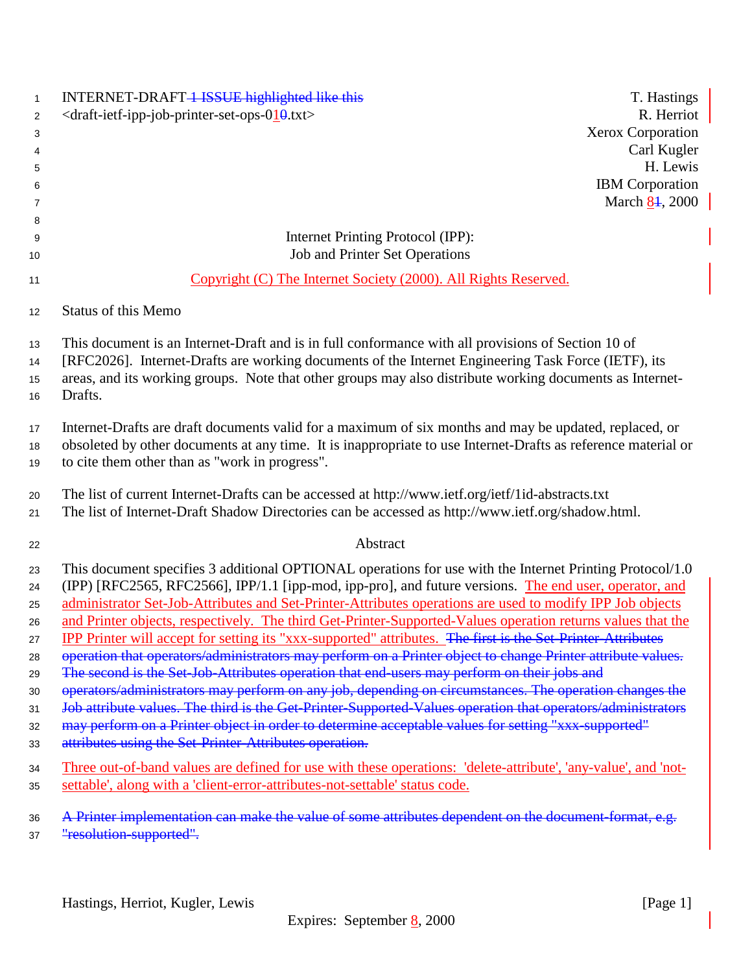| $\mathbf{1}$<br>2<br>3<br>4<br>5<br>6<br>7<br>8                | INTERNET-DRAFT-1 ISSUE highlighted like this<br><draft-ietf-ipp-job-printer-set-ops-010.txt></draft-ietf-ipp-job-printer-set-ops-010.txt>                                                                                                                                                                                                                                                                                                                                                                                                                                                                                                                                                                                                                                                                                                                                                                                                                                                                                                                                                                                                                             | T. Hastings<br>R. Herriot<br>Xerox Corporation<br>Carl Kugler<br>H. Lewis<br><b>IBM</b> Corporation<br>March 84, 2000 |
|----------------------------------------------------------------|-----------------------------------------------------------------------------------------------------------------------------------------------------------------------------------------------------------------------------------------------------------------------------------------------------------------------------------------------------------------------------------------------------------------------------------------------------------------------------------------------------------------------------------------------------------------------------------------------------------------------------------------------------------------------------------------------------------------------------------------------------------------------------------------------------------------------------------------------------------------------------------------------------------------------------------------------------------------------------------------------------------------------------------------------------------------------------------------------------------------------------------------------------------------------|-----------------------------------------------------------------------------------------------------------------------|
| 9<br>10                                                        | Internet Printing Protocol (IPP):<br>Job and Printer Set Operations                                                                                                                                                                                                                                                                                                                                                                                                                                                                                                                                                                                                                                                                                                                                                                                                                                                                                                                                                                                                                                                                                                   |                                                                                                                       |
| 11                                                             | Copyright (C) The Internet Society (2000). All Rights Reserved.                                                                                                                                                                                                                                                                                                                                                                                                                                                                                                                                                                                                                                                                                                                                                                                                                                                                                                                                                                                                                                                                                                       |                                                                                                                       |
| 12 <sup>°</sup>                                                | Status of this Memo                                                                                                                                                                                                                                                                                                                                                                                                                                                                                                                                                                                                                                                                                                                                                                                                                                                                                                                                                                                                                                                                                                                                                   |                                                                                                                       |
| 13<br>14<br>15<br>16                                           | This document is an Internet-Draft and is in full conformance with all provisions of Section 10 of<br>[RFC2026]. Internet-Drafts are working documents of the Internet Engineering Task Force (IETF), its<br>areas, and its working groups. Note that other groups may also distribute working documents as Internet-<br>Drafts.                                                                                                                                                                                                                                                                                                                                                                                                                                                                                                                                                                                                                                                                                                                                                                                                                                      |                                                                                                                       |
| 17<br>18<br>19                                                 | Internet-Drafts are draft documents valid for a maximum of six months and may be updated, replaced, or<br>obsoleted by other documents at any time. It is inappropriate to use Internet-Drafts as reference material or<br>to cite them other than as "work in progress".                                                                                                                                                                                                                                                                                                                                                                                                                                                                                                                                                                                                                                                                                                                                                                                                                                                                                             |                                                                                                                       |
| 20<br>21                                                       | The list of current Internet-Drafts can be accessed at http://www.ietf.org/ietf/1id-abstracts.txt<br>The list of Internet-Draft Shadow Directories can be accessed as http://www.ietf.org/shadow.html.                                                                                                                                                                                                                                                                                                                                                                                                                                                                                                                                                                                                                                                                                                                                                                                                                                                                                                                                                                |                                                                                                                       |
| 22                                                             | Abstract                                                                                                                                                                                                                                                                                                                                                                                                                                                                                                                                                                                                                                                                                                                                                                                                                                                                                                                                                                                                                                                                                                                                                              |                                                                                                                       |
| 23<br>24<br>25<br>26<br>27<br>28<br>29<br>30<br>31<br>32<br>33 | This document specifies 3 additional OPTIONAL operations for use with the Internet Printing Protocol/1.0<br>(IPP) [RFC2565, RFC2566], IPP/1.1 [ipp-mod, ipp-pro], and future versions. The end user, operator, and<br>administrator Set-Job-Attributes and Set-Printer-Attributes operations are used to modify IPP Job objects<br>and Printer objects, respectively. The third Get-Printer-Supported-Values operation returns values that the<br>IPP Printer will accept for setting its "xxx-supported" attributes. The first is the Set-Printer-Attributes<br>operation that operators/administrators may perform on a Printer object to change Printer attribute values.<br>The second is the Set-Job-Attributes operation that end-users may perform on their jobs and<br>operators/administrators may perform on any job, depending on circumstances. The operation changes the<br>Job attribute values. The third is the Get-Printer-Supported-Values operation that operators/administrators<br>may perform on a Printer object in order to determine acceptable values for setting "xxx-supported"<br>attributes using the Set-Printer-Attributes operation. |                                                                                                                       |
| 34<br>35                                                       | Three out-of-band values are defined for use with these operations: 'delete-attribute', 'any-value', and 'not-<br>settable', along with a 'client-error-attributes-not-settable' status code.                                                                                                                                                                                                                                                                                                                                                                                                                                                                                                                                                                                                                                                                                                                                                                                                                                                                                                                                                                         |                                                                                                                       |
| 36<br>37                                                       | A Printer implementation can make the value of some attributes dependent on the document-format, e.g.<br>"resolution-supported".                                                                                                                                                                                                                                                                                                                                                                                                                                                                                                                                                                                                                                                                                                                                                                                                                                                                                                                                                                                                                                      |                                                                                                                       |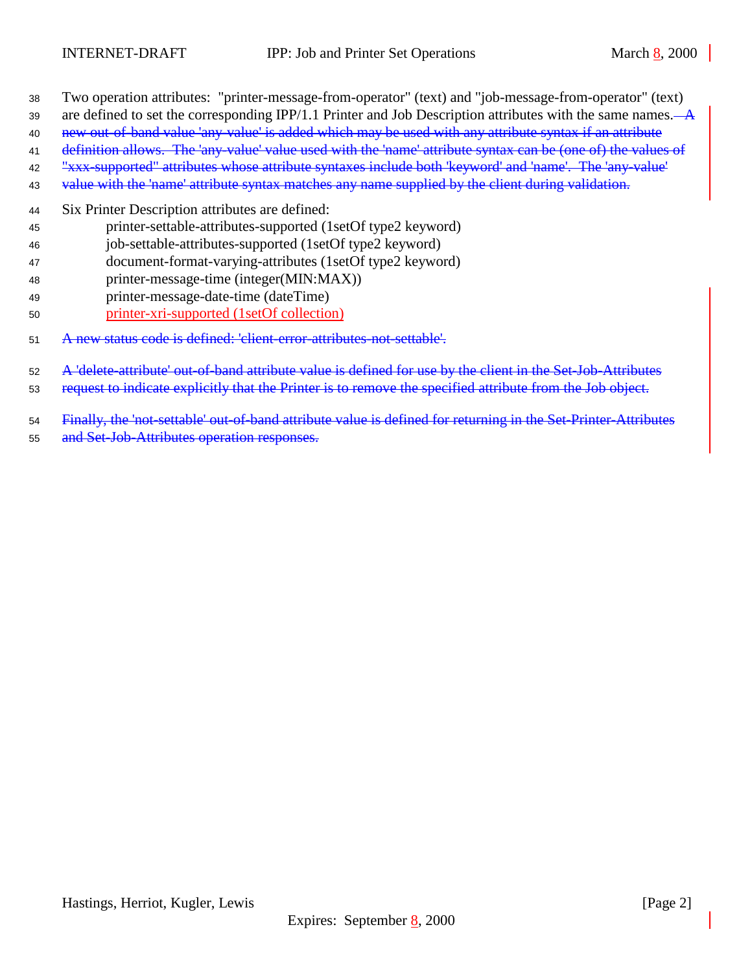- Two operation attributes: "printer-message-from-operator" (text) and "job-message-from-operator" (text)
- 39 are defined to set the corresponding IPP/1.1 Printer and Job Description attributes with the same names. $\overrightarrow{A}$
- 40 new out-of-band value 'any-value' is added which may be used with any attribute syntax if an attribute
- definition allows. The 'any-value' value used with the 'name' attribute syntax can be (one of) the values of "xxx-supported" attributes whose attribute syntaxes include both 'keyword' and 'name'. The 'any-value'
- 43 value with the 'name' attribute syntax matches any name supplied by the client during validation.
- Six Printer Description attributes are defined:
- printer-settable-attributes-supported (1setOf type2 keyword)
- job-settable-attributes-supported (1setOf type2 keyword)
- document-format-varying-attributes (1setOf type2 keyword)
- printer-message-time (integer(MIN:MAX))
- printer-message-date-time (dateTime)
- printer-xri-supported (1setOf collection)
- A new status code is defined: 'client-error-attributes-not-settable'.
- A 'delete-attribute' out-of-band attribute value is defined for use by the client in the Set-Job-Attributes
- 53 request to indicate explicitly that the Printer is to remove the specified attribute from the Job object.
- Finally, the 'not-settable' out-of-band attribute value is defined for returning in the Set-Printer-Attributes
- 55 and Set-Job-Attributes operation responses.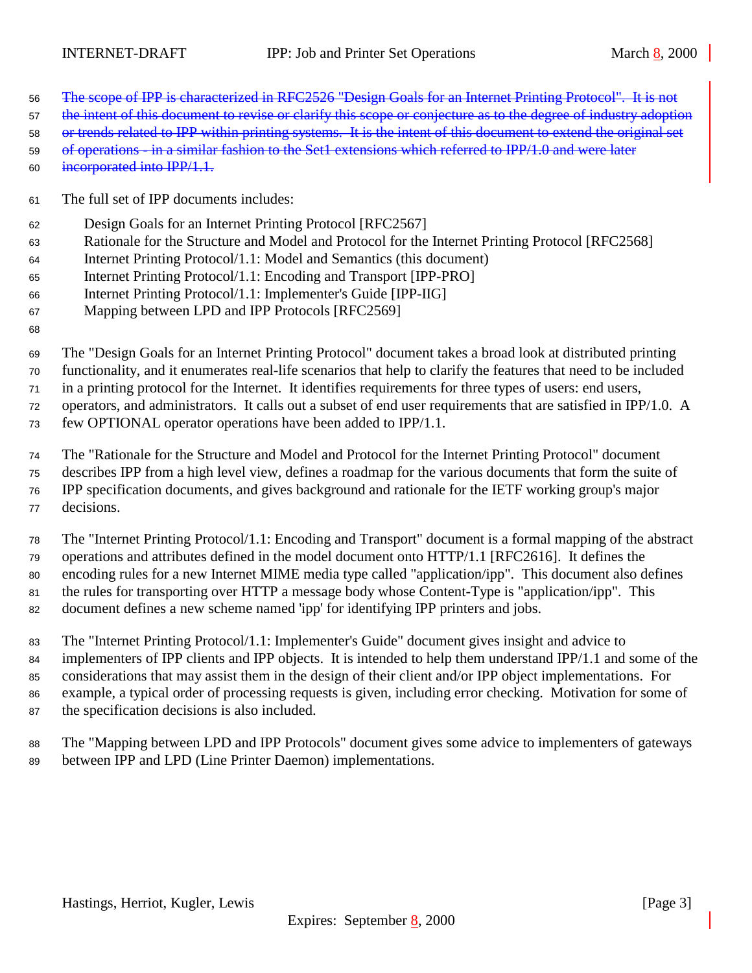- The scope of IPP is characterized in RFC2526 "Design Goals for an Internet Printing Protocol". It is not
- 57 the intent of this document to revise or clarify this scope or conjecture as to the degree of industry adoption
- or trends related to IPP within printing systems. It is the intent of this document to extend the original set
- of operations in a similar fashion to the Set1 extensions which referred to IPP/1.0 and were later incorporated into IPP/1.1.
- The full set of IPP documents includes:
- Design Goals for an Internet Printing Protocol [RFC2567]
- Rationale for the Structure and Model and Protocol for the Internet Printing Protocol [RFC2568]
- Internet Printing Protocol/1.1: Model and Semantics (this document)
- Internet Printing Protocol/1.1: Encoding and Transport [IPP-PRO]
- Internet Printing Protocol/1.1: Implementer's Guide [IPP-IIG]
- Mapping between LPD and IPP Protocols [RFC2569]
- 

 The "Design Goals for an Internet Printing Protocol" document takes a broad look at distributed printing functionality, and it enumerates real-life scenarios that help to clarify the features that need to be included in a printing protocol for the Internet. It identifies requirements for three types of users: end users, operators, and administrators. It calls out a subset of end user requirements that are satisfied in IPP/1.0. A few OPTIONAL operator operations have been added to IPP/1.1.

The "Rationale for the Structure and Model and Protocol for the Internet Printing Protocol" document

 describes IPP from a high level view, defines a roadmap for the various documents that form the suite of IPP specification documents, and gives background and rationale for the IETF working group's major decisions.

 The "Internet Printing Protocol/1.1: Encoding and Transport" document is a formal mapping of the abstract operations and attributes defined in the model document onto HTTP/1.1 [RFC2616]. It defines the encoding rules for a new Internet MIME media type called "application/ipp". This document also defines the rules for transporting over HTTP a message body whose Content-Type is "application/ipp". This document defines a new scheme named 'ipp' for identifying IPP printers and jobs.

 The "Internet Printing Protocol/1.1: Implementer's Guide" document gives insight and advice to implementers of IPP clients and IPP objects. It is intended to help them understand IPP/1.1 and some of the considerations that may assist them in the design of their client and/or IPP object implementations. For example, a typical order of processing requests is given, including error checking. Motivation for some of the specification decisions is also included.

 The "Mapping between LPD and IPP Protocols" document gives some advice to implementers of gateways between IPP and LPD (Line Printer Daemon) implementations.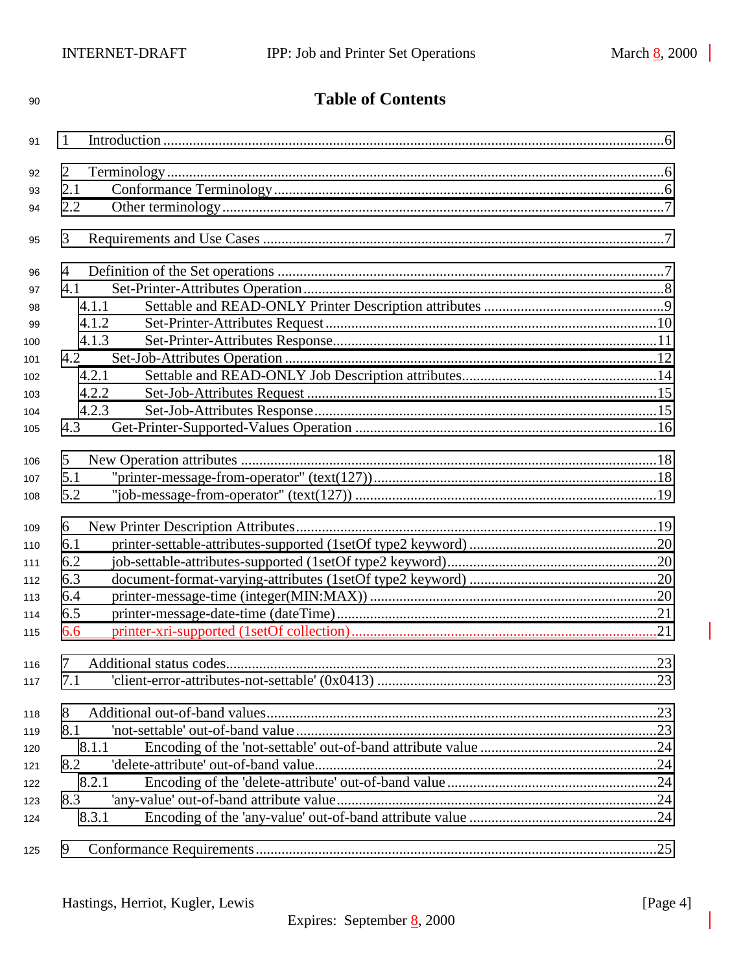| 90  | <b>Table of Contents</b> |  |  |
|-----|--------------------------|--|--|
| 91  | 1                        |  |  |
| 92  | 2                        |  |  |
| 93  | 2.1                      |  |  |
| 94  | 2.2                      |  |  |
| 95  | 3                        |  |  |
| 96  | 4                        |  |  |
| 97  | 4.1                      |  |  |
| 98  | 4.1.1                    |  |  |
| 99  | 4.1.2                    |  |  |
| 100 | 4.1.3                    |  |  |
| 101 | 4.2                      |  |  |
| 102 | 4.2.1                    |  |  |
| 103 | 4.2.2                    |  |  |
| 104 | 4.2.3                    |  |  |
| 105 | 4.3                      |  |  |
| 106 | 5                        |  |  |
| 107 | 5.1                      |  |  |
| 108 | 5.2                      |  |  |
| 109 | 6                        |  |  |
| 110 | 6.1                      |  |  |
| 111 | 6.2                      |  |  |
| 112 | 6.3                      |  |  |
| 113 | 6.4                      |  |  |
| 114 | 6.5                      |  |  |
| 115 | 6.6                      |  |  |
| 116 | 7                        |  |  |
| 117 | 7.1                      |  |  |
| 118 | 8                        |  |  |
| 119 | 8.1                      |  |  |
| 120 | 8.1.1                    |  |  |
| 121 | 8.2                      |  |  |
| 122 | 8.2.1                    |  |  |
| 123 | 8.3                      |  |  |
| 124 | 8.3.1                    |  |  |
| 125 | 9                        |  |  |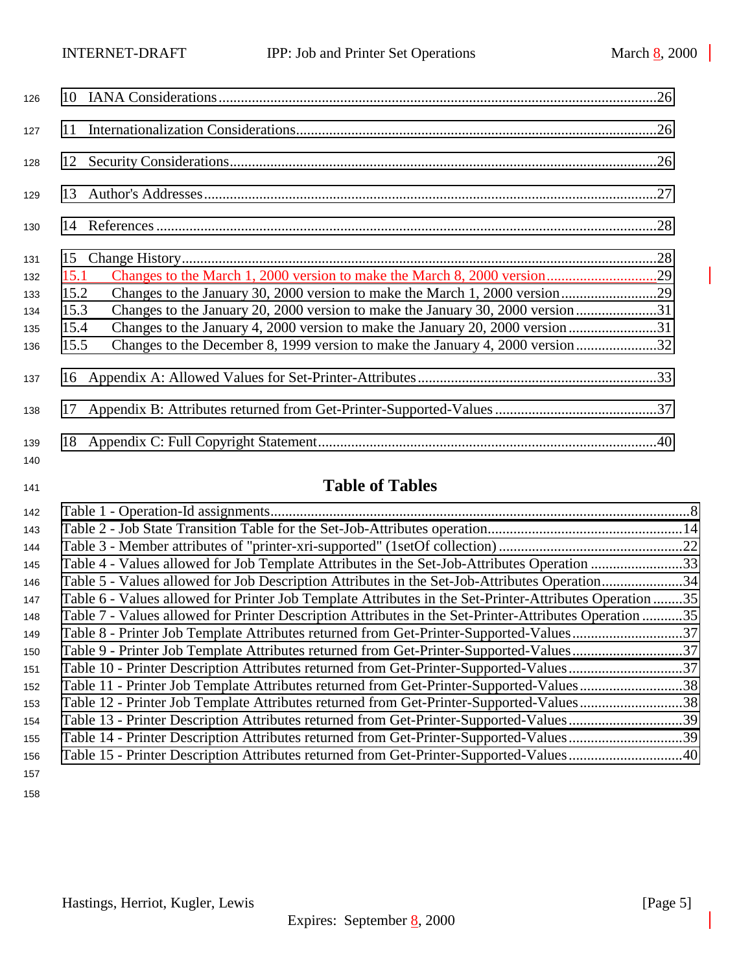| 126        |      |  |
|------------|------|--|
| 127        | 11   |  |
| 128        |      |  |
| 129        |      |  |
| 130        |      |  |
| 131        | 15   |  |
| 132        | 15.1 |  |
| 133        | 15.2 |  |
| 134        | 15.3 |  |
| 135        | 15.4 |  |
| 136        | 15.5 |  |
| 137        |      |  |
| 138        |      |  |
| 139<br>140 | 18   |  |

# **Table of Tables**

| 142 |                                                                                                         |  |
|-----|---------------------------------------------------------------------------------------------------------|--|
| 143 |                                                                                                         |  |
| 144 |                                                                                                         |  |
| 145 | Table 4 - Values allowed for Job Template Attributes in the Set-Job-Attributes Operation 33             |  |
| 146 | Table 5 - Values allowed for Job Description Attributes in the Set-Job-Attributes Operation34           |  |
| 147 | Table 6 - Values allowed for Printer Job Template Attributes in the Set-Printer-Attributes Operation 35 |  |
| 148 | Table 7 - Values allowed for Printer Description Attributes in the Set-Printer-Attributes Operation 35  |  |
| 149 | Table 8 - Printer Job Template Attributes returned from Get-Printer-Supported-Values37                  |  |
| 150 | Table 9 - Printer Job Template Attributes returned from Get-Printer-Supported-Values37                  |  |
| 151 | Table 10 - Printer Description Attributes returned from Get-Printer-Supported-Values37                  |  |
| 152 | Table 11 - Printer Job Template Attributes returned from Get-Printer-Supported-Values38                 |  |
| 153 | Table 12 - Printer Job Template Attributes returned from Get-Printer-Supported-Values38                 |  |
| 154 | Table 13 - Printer Description Attributes returned from Get-Printer-Supported-Values39                  |  |
| 155 | Table 14 - Printer Description Attributes returned from Get-Printer-Supported-Values39                  |  |
| 156 | Table 15 - Printer Description Attributes returned from Get-Printer-Supported-Values40                  |  |
| 157 |                                                                                                         |  |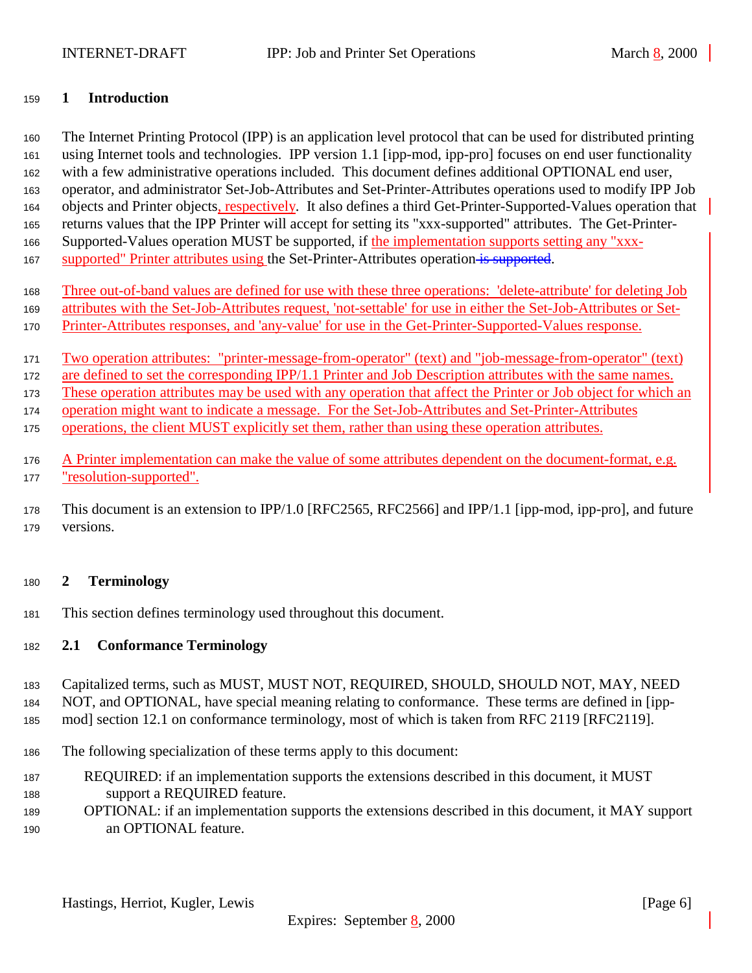## <span id="page-5-0"></span>**1 Introduction**

 The Internet Printing Protocol (IPP) is an application level protocol that can be used for distributed printing using Internet tools and technologies. IPP version 1.1 [ipp-mod, ipp-pro] focuses on end user functionality with a few administrative operations included. This document defines additional OPTIONAL end user, operator, and administrator Set-Job-Attributes and Set-Printer-Attributes operations used to modify IPP Job objects and Printer objects, respectively. It also defines a third Get-Printer-Supported-Values operation that returns values that the IPP Printer will accept for setting its "xxx-supported" attributes. The Get-Printer-Supported-Values operation MUST be supported, if the implementation supports setting any "xxx-

- 167 supported" Printer attributes using the Set-Printer-Attributes operation is supported.
- Three out-of-band values are defined for use with these three operations: 'delete-attribute' for deleting Job
- attributes with the Set-Job-Attributes request, 'not-settable' for use in either the Set-Job-Attributes or Set-
- Printer-Attributes responses, and 'any-value' for use in the Get-Printer-Supported-Values response.
- Two operation attributes: "printer-message-from-operator" (text) and "job-message-from-operator" (text)

172 are defined to set the corresponding IPP/1.1 Printer and Job Description attributes with the same names.

These operation attributes may be used with any operation that affect the Printer or Job object for which an

operation might want to indicate a message. For the Set-Job-Attributes and Set-Printer-Attributes

- operations, the client MUST explicitly set them, rather than using these operation attributes.
- 176 A Printer implementation can make the value of some attributes dependent on the document-format, e.g. "resolution-supported".

 This document is an extension to IPP/1.0 [RFC2565, RFC2566] and IPP/1.1 [ipp-mod, ipp-pro], and future versions.

## **2 Terminology**

This section defines terminology used throughout this document.

## **2.1 Conformance Terminology**

 Capitalized terms, such as MUST, MUST NOT, REQUIRED, SHOULD, SHOULD NOT, MAY, NEED NOT, and OPTIONAL, have special meaning relating to conformance. These terms are defined in [ipp-

mod] section 12.1 on conformance terminology, most of which is taken from RFC 2119 [RFC2119].

- The following specialization of these terms apply to this document:
- REQUIRED: if an implementation supports the extensions described in this document, it MUST support a REQUIRED feature.
- OPTIONAL: if an implementation supports the extensions described in this document, it MAY support an OPTIONAL feature.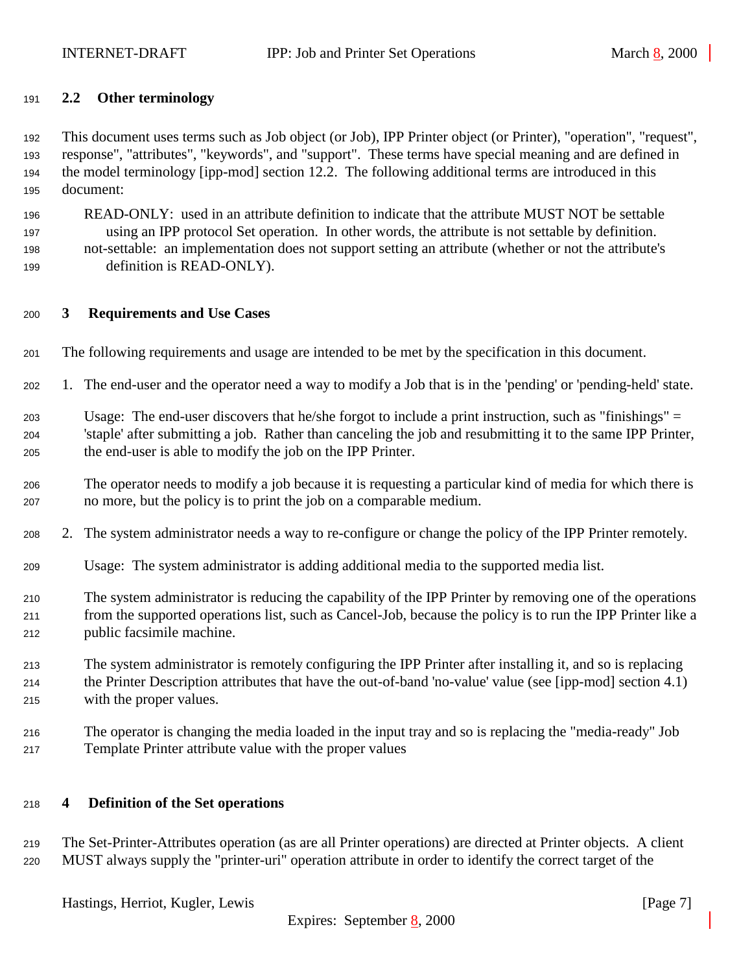## <span id="page-6-0"></span>**2.2 Other terminology**

 This document uses terms such as Job object (or Job), IPP Printer object (or Printer), "operation", "request", response", "attributes", "keywords", and "support". These terms have special meaning and are defined in the model terminology [ipp-mod] section 12.2. The following additional terms are introduced in this document:

 READ-ONLY: used in an attribute definition to indicate that the attribute MUST NOT be settable using an IPP protocol Set operation. In other words, the attribute is not settable by definition. not-settable: an implementation does not support setting an attribute (whether or not the attribute's definition is READ-ONLY).

## **3 Requirements and Use Cases**

- The following requirements and usage are intended to be met by the specification in this document.
- 1. The end-user and the operator need a way to modify a Job that is in the 'pending' or 'pending-held' state.

 Usage: The end-user discovers that he/she forgot to include a print instruction, such as "finishings" = 'staple' after submitting a job. Rather than canceling the job and resubmitting it to the same IPP Printer, the end-user is able to modify the job on the IPP Printer.

- The operator needs to modify a job because it is requesting a particular kind of media for which there is no more, but the policy is to print the job on a comparable medium.
- 2. The system administrator needs a way to re-configure or change the policy of the IPP Printer remotely.
- Usage: The system administrator is adding additional media to the supported media list.
- The system administrator is reducing the capability of the IPP Printer by removing one of the operations from the supported operations list, such as Cancel-Job, because the policy is to run the IPP Printer like a public facsimile machine.
- The system administrator is remotely configuring the IPP Printer after installing it, and so is replacing the Printer Description attributes that have the out-of-band 'no-value' value (see [ipp-mod] section 4.1) with the proper values.
- The operator is changing the media loaded in the input tray and so is replacing the "media-ready" Job Template Printer attribute value with the proper values

### **4 Definition of the Set operations**

 The Set-Printer-Attributes operation (as are all Printer operations) are directed at Printer objects. A client MUST always supply the "printer-uri" operation attribute in order to identify the correct target of the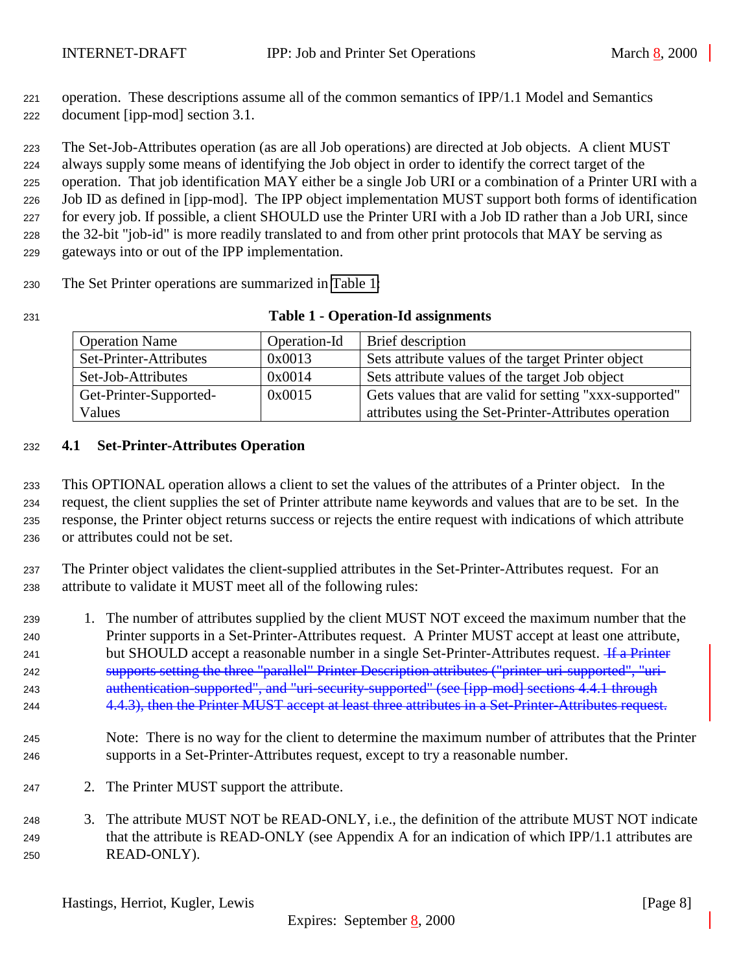<span id="page-7-0"></span> operation. These descriptions assume all of the common semantics of IPP/1.1 Model and Semantics document [ipp-mod] section 3.1.

 The Set-Job-Attributes operation (as are all Job operations) are directed at Job objects. A client MUST always supply some means of identifying the Job object in order to identify the correct target of the operation. That job identification MAY either be a single Job URI or a combination of a Printer URI with a Job ID as defined in [ipp-mod]. The IPP object implementation MUST support both forms of identification for every job. If possible, a client SHOULD use the Printer URI with a Job ID rather than a Job URI, since the 32-bit "job-id" is more readily translated to and from other print protocols that MAY be serving as gateways into or out of the IPP implementation.

The Set Printer operations are summarized in Table 1:

| 231 | <b>Table 1 - Operation-Id assignments</b> |
|-----|-------------------------------------------|
|-----|-------------------------------------------|

| <b>Operation Name</b>  | Operation-Id | <b>Brief</b> description                               |
|------------------------|--------------|--------------------------------------------------------|
| Set-Printer-Attributes | 0x0013       | Sets attribute values of the target Printer object     |
| Set-Job-Attributes     | 0x0014       | Sets attribute values of the target Job object         |
| Get-Printer-Supported- | 0x0015       | Gets values that are valid for setting "xxx-supported" |
| Values                 |              | attributes using the Set-Printer-Attributes operation  |

## **4.1 Set-Printer-Attributes Operation**

 This OPTIONAL operation allows a client to set the values of the attributes of a Printer object. In the request, the client supplies the set of Printer attribute name keywords and values that are to be set. In the response, the Printer object returns success or rejects the entire request with indications of which attribute or attributes could not be set.

 The Printer object validates the client-supplied attributes in the Set-Printer-Attributes request. For an attribute to validate it MUST meet all of the following rules:

 1. The number of attributes supplied by the client MUST NOT exceed the maximum number that the Printer supports in a Set-Printer-Attributes request. A Printer MUST accept at least one attribute, 241 but SHOULD accept a reasonable number in a single Set-Printer-Attributes request. <del>If a Printer</del> supports setting the three "parallel" Printer Description attributes ("printer-uri-supported", "uri- authentication-supported", and "uri-security-supported" (see [ipp-mod] sections 4.4.1 through 4.4.3), then the Printer MUST accept at least three attributes in a Set-Printer-Attributes request.

- Note: There is no way for the client to determine the maximum number of attributes that the Printer supports in a Set-Printer-Attributes request, except to try a reasonable number.
- 2. The Printer MUST support the attribute.
- 3. The attribute MUST NOT be READ-ONLY, i.e., the definition of the attribute MUST NOT indicate that the attribute is READ-ONLY (see Appendix A for an indication of which IPP/1.1 attributes are READ-ONLY).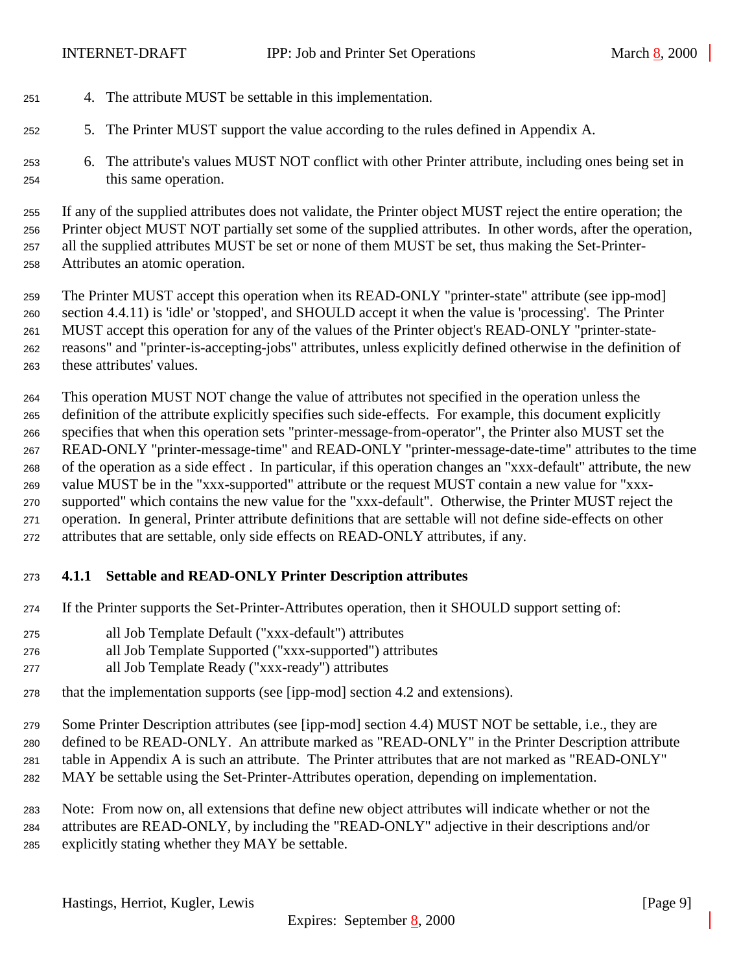- <span id="page-8-0"></span>4. The attribute MUST be settable in this implementation.
- 5. The Printer MUST support the value according to the rules defined in Appendix A.
- 6. The attribute's values MUST NOT conflict with other Printer attribute, including ones being set in this same operation.

 If any of the supplied attributes does not validate, the Printer object MUST reject the entire operation; the Printer object MUST NOT partially set some of the supplied attributes. In other words, after the operation, all the supplied attributes MUST be set or none of them MUST be set, thus making the Set-Printer-Attributes an atomic operation.

 The Printer MUST accept this operation when its READ-ONLY "printer-state" attribute (see ipp-mod] section 4.4.11) is 'idle' or 'stopped', and SHOULD accept it when the value is 'processing'. The Printer MUST accept this operation for any of the values of the Printer object's READ-ONLY "printer-state- reasons" and "printer-is-accepting-jobs" attributes, unless explicitly defined otherwise in the definition of these attributes' values.

 This operation MUST NOT change the value of attributes not specified in the operation unless the definition of the attribute explicitly specifies such side-effects. For example, this document explicitly specifies that when this operation sets "printer-message-from-operator", the Printer also MUST set the READ-ONLY "printer-message-time" and READ-ONLY "printer-message-date-time" attributes to the time of the operation as a side effect . In particular, if this operation changes an "xxx-default" attribute, the new value MUST be in the "xxx-supported" attribute or the request MUST contain a new value for "xxx- supported" which contains the new value for the "xxx-default". Otherwise, the Printer MUST reject the operation. In general, Printer attribute definitions that are settable will not define side-effects on other attributes that are settable, only side effects on READ-ONLY attributes, if any.

## **4.1.1 Settable and READ-ONLY Printer Description attributes**

- If the Printer supports the Set-Printer-Attributes operation, then it SHOULD support setting of:
- all Job Template Default ("xxx-default") attributes
- all Job Template Supported ("xxx-supported") attributes
- all Job Template Ready ("xxx-ready") attributes
- that the implementation supports (see [ipp-mod] section 4.2 and extensions).
- Some Printer Description attributes (see [ipp-mod] section 4.4) MUST NOT be settable, i.e., they are defined to be READ-ONLY. An attribute marked as "READ-ONLY" in the Printer Description attribute table in Appendix A is such an attribute. The Printer attributes that are not marked as "READ-ONLY" MAY be settable using the Set-Printer-Attributes operation, depending on implementation.
- Note: From now on, all extensions that define new object attributes will indicate whether or not the attributes are READ-ONLY, by including the "READ-ONLY" adjective in their descriptions and/or explicitly stating whether they MAY be settable.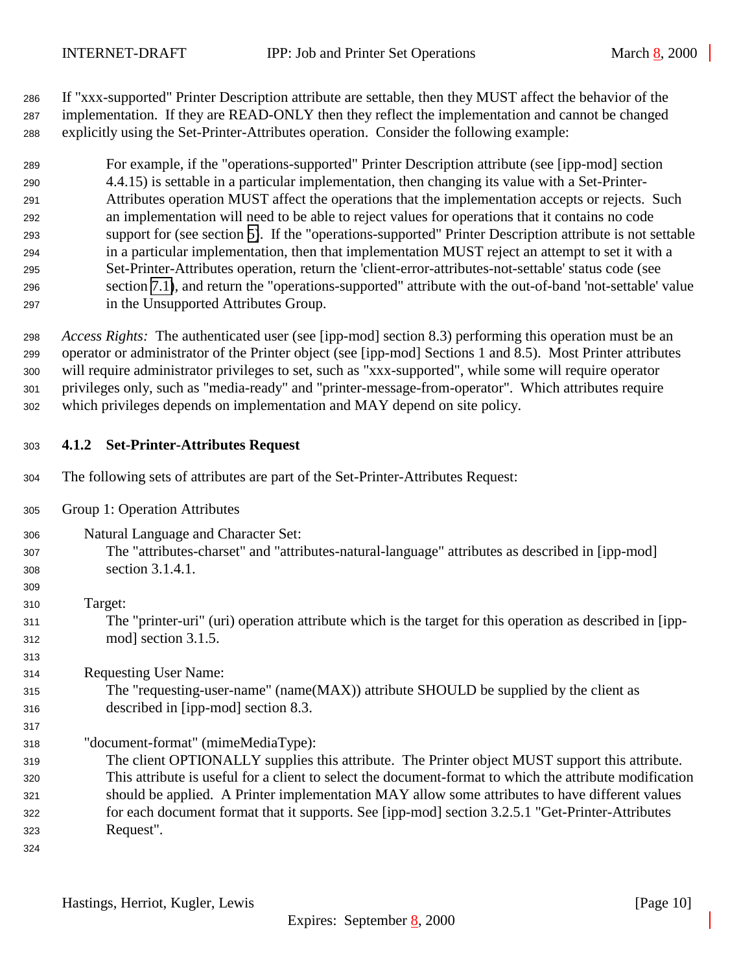<span id="page-9-0"></span> If "xxx-supported" Printer Description attribute are settable, then they MUST affect the behavior of the implementation. If they are READ-ONLY then they reflect the implementation and cannot be changed explicitly using the Set-Printer-Attributes operation. Consider the following example:

 For example, if the "operations-supported" Printer Description attribute (see [ipp-mod] section 4.4.15) is settable in a particular implementation, then changing its value with a Set-Printer- Attributes operation MUST affect the operations that the implementation accepts or rejects. Such an implementation will need to be able to reject values for operations that it contains no code support for (see section [5\)](#page-15-0). If the "operations-supported" Printer Description attribute is not settable in a particular implementation, then that implementation MUST reject an attempt to set it with a Set-Printer-Attributes operation, return the 'client-error-attributes-not-settable' status code (see section [7.1\)](#page-22-0), and return the "operations-supported" attribute with the out-of-band 'not-settable' value in the Unsupported Attributes Group.

 *Access Rights:*The authenticated user (see [ipp-mod] section 8.3) performing this operation must be an operator or administrator of the Printer object (see [ipp-mod] Sections 1 and 8.5). Most Printer attributes will require administrator privileges to set, such as "xxx-supported", while some will require operator privileges only, such as "media-ready" and "printer-message-from-operator". Which attributes require which privileges depends on implementation and MAY depend on site policy.

## **4.1.2 Set-Printer-Attributes Request**

- The following sets of attributes are part of the Set-Printer-Attributes Request:
- Group 1: Operation Attributes
- Natural Language and Character Set: The "attributes-charset" and "attributes-natural-language" attributes as described in [ipp-mod] section 3.1.4.1.
- Target: The "printer-uri" (uri) operation attribute which is the target for this operation as described in [ipp-mod] section 3.1.5.

Requesting User Name:

 The "requesting-user-name" (name(MAX)) attribute SHOULD be supplied by the client as described in [ipp-mod] section 8.3.

"document-format" (mimeMediaType):

 The client OPTIONALLY supplies this attribute. The Printer object MUST support this attribute. This attribute is useful for a client to select the document-format to which the attribute modification should be applied. A Printer implementation MAY allow some attributes to have different values for each document format that it supports. See [ipp-mod] section 3.2.5.1 "Get-Printer-Attributes Request".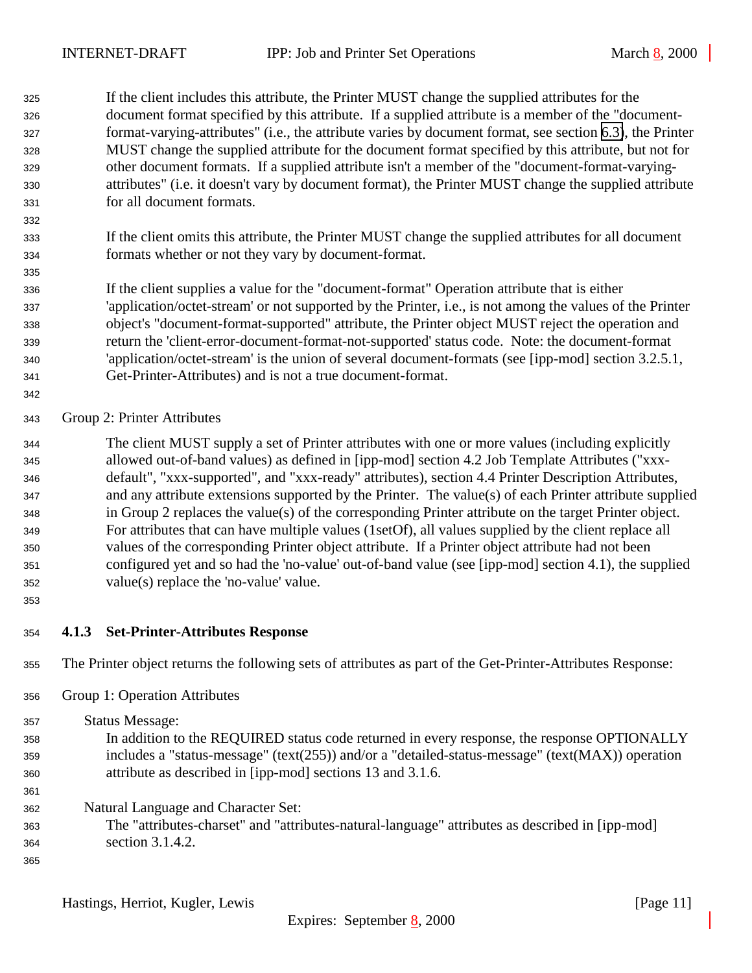<span id="page-10-0"></span> If the client includes this attribute, the Printer MUST change the supplied attributes for the document format specified by this attribute. If a supplied attribute is a member of the "document- format-varying-attributes" (i.e., the attribute varies by document format, see section [6.3\)](#page-19-0), the Printer MUST change the supplied attribute for the document format specified by this attribute, but not for other document formats. If a supplied attribute isn't a member of the "document-format-varying- attributes" (i.e. it doesn't vary by document format), the Printer MUST change the supplied attribute for all document formats.

- If the client omits this attribute, the Printer MUST change the supplied attributes for all document formats whether or not they vary by document-format.
- If the client supplies a value for the "document-format" Operation attribute that is either 'application/octet-stream' or not supported by the Printer, i.e., is not among the values of the Printer object's "document-format-supported" attribute, the Printer object MUST reject the operation and return the 'client-error-document-format-not-supported' status code. Note: the document-format 'application/octet-stream' is the union of several document-formats (see [ipp-mod] section 3.2.5.1, Get-Printer-Attributes) and is not a true document-format.
- 

## Group 2: Printer Attributes

 The client MUST supply a set of Printer attributes with one or more values (including explicitly allowed out-of-band values) as defined in [ipp-mod] section 4.2 Job Template Attributes ("xxx- default", "xxx-supported", and "xxx-ready" attributes), section 4.4 Printer Description Attributes, and any attribute extensions supported by the Printer. The value(s) of each Printer attribute supplied in Group 2 replaces the value(s) of the corresponding Printer attribute on the target Printer object. For attributes that can have multiple values (1setOf), all values supplied by the client replace all values of the corresponding Printer object attribute. If a Printer object attribute had not been configured yet and so had the 'no-value' out-of-band value (see [ipp-mod] section 4.1), the supplied value(s) replace the 'no-value' value.

## **4.1.3 Set-Printer-Attributes Response**

The Printer object returns the following sets of attributes as part of the Get-Printer-Attributes Response:

Group 1: Operation Attributes

 Status Message: In addition to the REQUIRED status code returned in every response, the response OPTIONALLY includes a "status-message" (text(255)) and/or a "detailed-status-message" (text(MAX)) operation attribute as described in [ipp-mod] sections 13 and 3.1.6. 

- Natural Language and Character Set:
- The "attributes-charset" and "attributes-natural-language" attributes as described in [ipp-mod] section 3.1.4.2.
-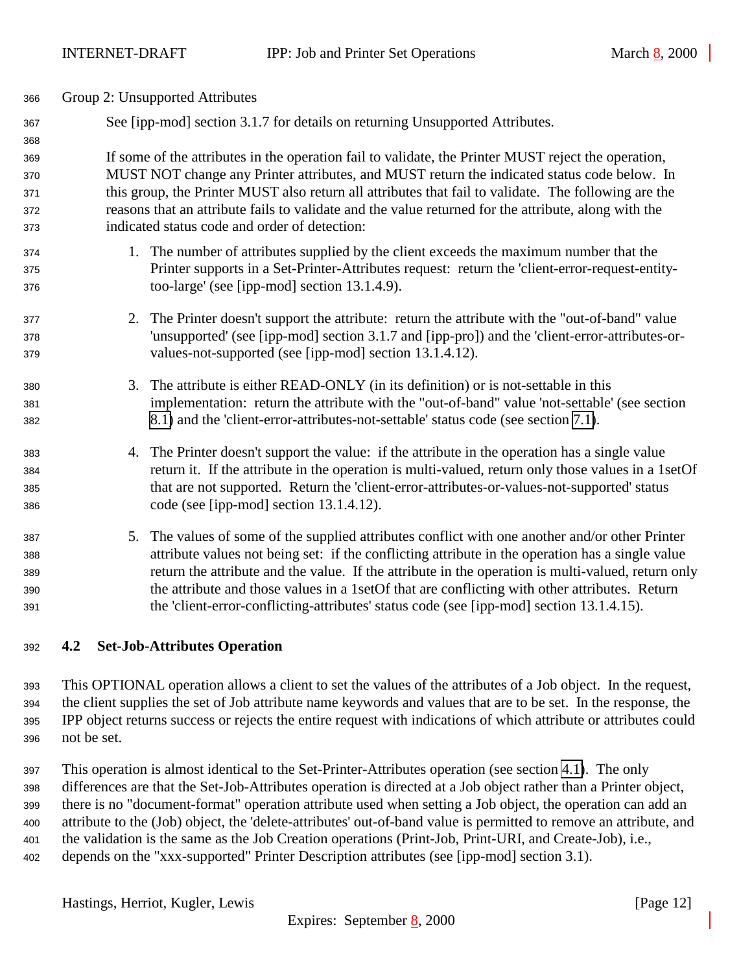<span id="page-11-0"></span>

| 366        |    | Group 2: Unsupported Attributes                                                                      |
|------------|----|------------------------------------------------------------------------------------------------------|
| 367<br>368 |    | See [ipp-mod] section 3.1.7 for details on returning Unsupported Attributes.                         |
| 369        |    | If some of the attributes in the operation fail to validate, the Printer MUST reject the operation,  |
| 370        |    | MUST NOT change any Printer attributes, and MUST return the indicated status code below. In          |
| 371        |    | this group, the Printer MUST also return all attributes that fail to validate. The following are the |
| 372        |    | reasons that an attribute fails to validate and the value returned for the attribute, along with the |
| 373        |    | indicated status code and order of detection:                                                        |
| 374        |    | 1. The number of attributes supplied by the client exceeds the maximum number that the               |
| 375        |    | Printer supports in a Set-Printer-Attributes request: return the 'client-error-request-entity-       |
| 376        |    | too-large' (see [ipp-mod] section 13.1.4.9).                                                         |
| 377        |    | 2. The Printer doesn't support the attribute: return the attribute with the "out-of-band" value      |
| 378        |    | 'unsupported' (see [ipp-mod] section 3.1.7 and [ipp-pro]) and the 'client-error-attributes-or-       |
| 379        |    | values-not-supported (see [ipp-mod] section 13.1.4.12).                                              |
| 380        |    | 3. The attribute is either READ-ONLY (in its definition) or is not-settable in this                  |
| 381        |    | implementation: return the attribute with the "out-of-band" value 'not-settable' (see section        |
| 382        |    | 8.1) and the 'client-error-attributes-not-settable' status code (see section 7.1).                   |
| 383        | 4. | The Printer doesn't support the value: if the attribute in the operation has a single value          |
| 384        |    | return it. If the attribute in the operation is multi-valued, return only those values in a 1setOf   |
| 385        |    | that are not supported. Return the 'client-error-attributes-or-values-not-supported' status          |
| 386        |    | code (see [ipp-mod] section 13.1.4.12).                                                              |
| 387        |    | 5. The values of some of the supplied attributes conflict with one another and/or other Printer      |
| 388        |    | attribute values not being set: if the conflicting attribute in the operation has a single value     |
| 389        |    | return the attribute and the value. If the attribute in the operation is multi-valued, return only   |
| 390        |    | the attribute and those values in a 1setOf that are conflicting with other attributes. Return        |
| 391        |    | the 'client-error-conflicting-attributes' status code (see [ipp-mod] section 13.1.4.15).             |
|            |    |                                                                                                      |

### **4.2 Set-Job-Attributes Operation**

 This OPTIONAL operation allows a client to set the values of the attributes of a Job object. In the request, the client supplies the set of Job attribute name keywords and values that are to be set. In the response, the IPP object returns success or rejects the entire request with indications of which attribute or attributes could not be set.

 This operation is almost identical to the Set-Printer-Attributes operation (see section [4.1\)](#page-7-0). The only differences are that the Set-Job-Attributes operation is directed at a Job object rather than a Printer object, there is no "document-format" operation attribute used when setting a Job object, the operation can add an attribute to the (Job) object, the 'delete-attributes' out-of-band value is permitted to remove an attribute, and the validation is the same as the Job Creation operations (Print-Job, Print-URI, and Create-Job), i.e., depends on the "xxx-supported" Printer Description attributes (see [ipp-mod] section 3.1).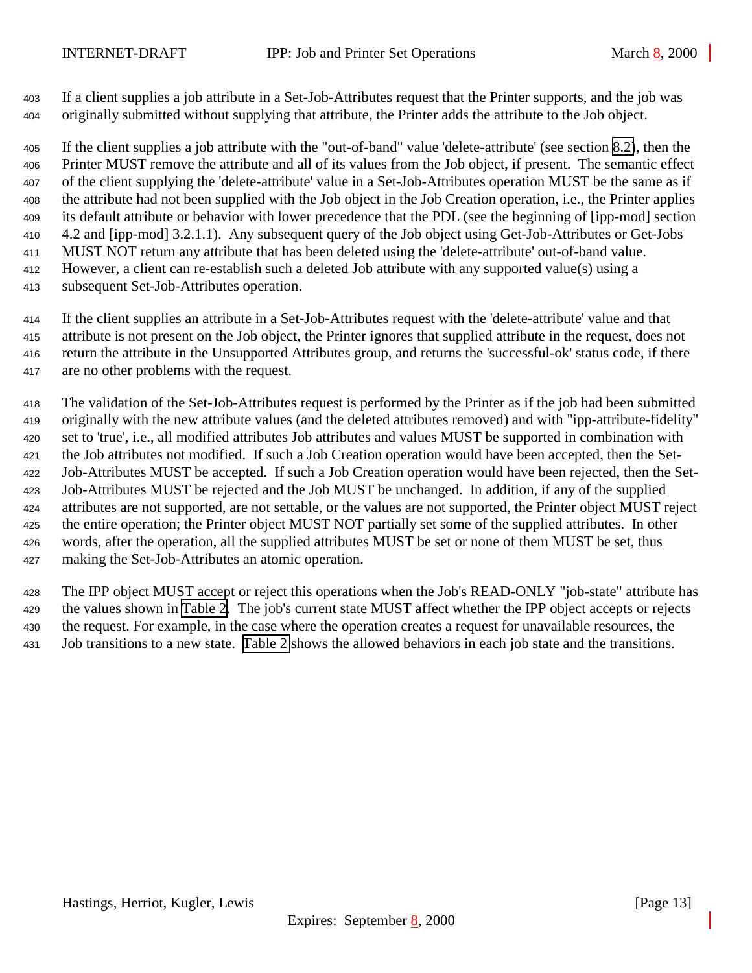If a client supplies a job attribute in a Set-Job-Attributes request that the Printer supports, and the job was originally submitted without supplying that attribute, the Printer adds the attribute to the Job object.

 If the client supplies a job attribute with the "out-of-band" value 'delete-attribute' (see section [8.2\)](#page-23-0), then the Printer MUST remove the attribute and all of its values from the Job object, if present. The semantic effect of the client supplying the 'delete-attribute' value in a Set-Job-Attributes operation MUST be the same as if the attribute had not been supplied with the Job object in the Job Creation operation, i.e., the Printer applies its default attribute or behavior with lower precedence that the PDL (see the beginning of [ipp-mod] section 4.2 and [ipp-mod] 3.2.1.1). Any subsequent query of the Job object using Get-Job-Attributes or Get-Jobs MUST NOT return any attribute that has been deleted using the 'delete-attribute' out-of-band value. However, a client can re-establish such a deleted Job attribute with any supported value(s) using a

subsequent Set-Job-Attributes operation.

 If the client supplies an attribute in a Set-Job-Attributes request with the 'delete-attribute' value and that attribute is not present on the Job object, the Printer ignores that supplied attribute in the request, does not return the attribute in the Unsupported Attributes group, and returns the 'successful-ok' status code, if there are no other problems with the request.

 The validation of the Set-Job-Attributes request is performed by the Printer as if the job had been submitted originally with the new attribute values (and the deleted attributes removed) and with "ipp-attribute-fidelity" set to 'true', i.e., all modified attributes Job attributes and values MUST be supported in combination with the Job attributes not modified. If such a Job Creation operation would have been accepted, then the Set- Job-Attributes MUST be accepted. If such a Job Creation operation would have been rejected, then the Set- Job-Attributes MUST be rejected and the Job MUST be unchanged. In addition, if any of the supplied attributes are not supported, are not settable, or the values are not supported, the Printer object MUST reject the entire operation; the Printer object MUST NOT partially set some of the supplied attributes. In other words, after the operation, all the supplied attributes MUST be set or none of them MUST be set, thus making the Set-Job-Attributes an atomic operation.

 The IPP object MUST accept or reject this operations when the Job's READ-ONLY "job-state" attribute has the values shown in [Table 2.](#page-13-0) The job's current state MUST affect whether the IPP object accepts or rejects the request. For example, in the case where the operation creates a request for unavailable resources, the Job transitions to a new state. [Table 2](#page-13-0) shows the allowed behaviors in each job state and the transitions.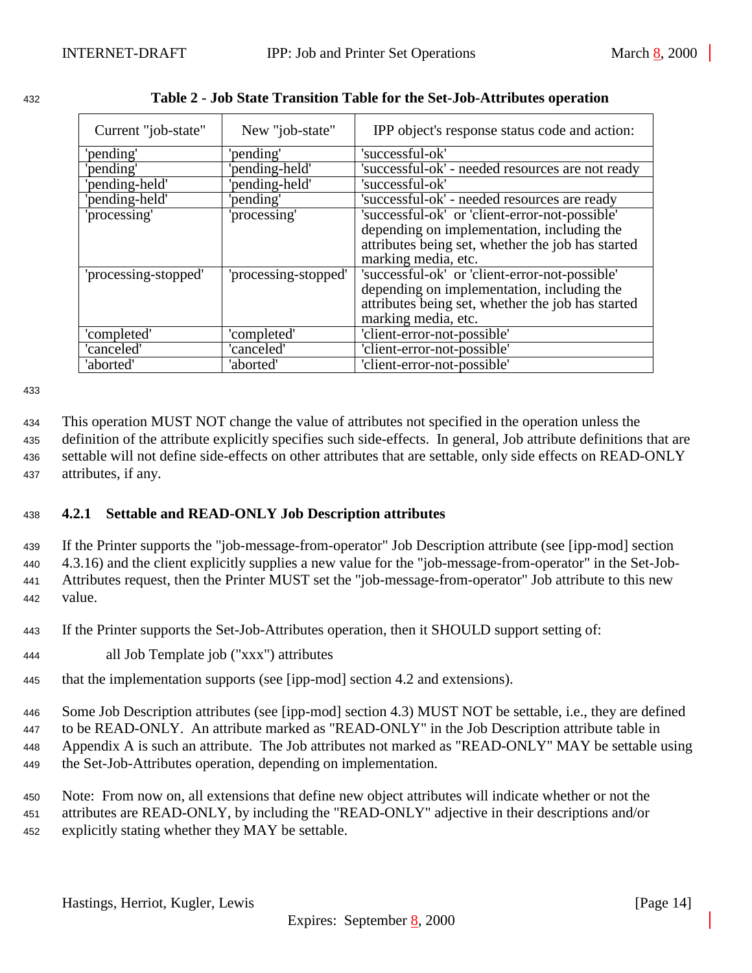| ۰. |
|----|
|----|

<span id="page-13-0"></span>

| 432 | Table 2 - Job State Transition Table for the Set-Job-Attributes operation |  |
|-----|---------------------------------------------------------------------------|--|
|     |                                                                           |  |

| Current "job-state"  | New "job-state"      | IPP object's response status code and action:     |
|----------------------|----------------------|---------------------------------------------------|
| 'pending'            | 'pending'            | 'successful-ok'                                   |
| pending'             | 'pending-held'       | 'successful-ok' - needed resources are not ready  |
| 'pending-held'       | 'pending-held'       | 'successful-ok'                                   |
| 'pending-held'       | 'pending'            | 'successful-ok' - needed resources are ready      |
| 'processing'         | 'processing'         | 'successful-ok' or 'client-error-not-possible'    |
|                      |                      | depending on implementation, including the        |
|                      |                      | attributes being set, whether the job has started |
|                      |                      | marking media, etc.                               |
| 'processing-stopped' | 'processing-stopped' | 'successful-ok' or 'client-error-not-possible'    |
|                      |                      | depending on implementation, including the        |
|                      |                      | attributes being set, whether the job has started |
|                      |                      | marking media, etc.                               |
| 'completed'          | 'completed'          | 'client-error-not-possible'                       |
| 'canceled'           | 'canceled'           | 'client-error-not-possible'                       |
| 'aborted'            | 'aborted'            | 'client-error-not-possible'                       |

433

 This operation MUST NOT change the value of attributes not specified in the operation unless the definition of the attribute explicitly specifies such side-effects. In general, Job attribute definitions that are settable will not define side-effects on other attributes that are settable, only side effects on READ-ONLY attributes, if any.

## <sup>438</sup> **4.2.1 Settable and READ-ONLY Job Description attributes**

 If the Printer supports the "job-message-from-operator" Job Description attribute (see [ipp-mod] section 4.3.16) and the client explicitly supplies a new value for the "job-message-from-operator" in the Set-Job- Attributes request, then the Printer MUST set the "job-message-from-operator" Job attribute to this new <sup>442</sup> value.

<sup>443</sup> If the Printer supports the Set-Job-Attributes operation, then it SHOULD support setting of:

<sup>444</sup> all Job Template job ("xxx") attributes

<sup>445</sup> that the implementation supports (see [ipp-mod] section 4.2 and extensions).

 Some Job Description attributes (see [ipp-mod] section 4.3) MUST NOT be settable, i.e., they are defined to be READ-ONLY. An attribute marked as "READ-ONLY" in the Job Description attribute table in Appendix A is such an attribute. The Job attributes not marked as "READ-ONLY" MAY be settable using the Set-Job-Attributes operation, depending on implementation.

<sup>450</sup> Note: From now on, all extensions that define new object attributes will indicate whether or not the <sup>451</sup> attributes are READ-ONLY, by including the "READ-ONLY" adjective in their descriptions and/or <sup>452</sup> explicitly stating whether they MAY be settable.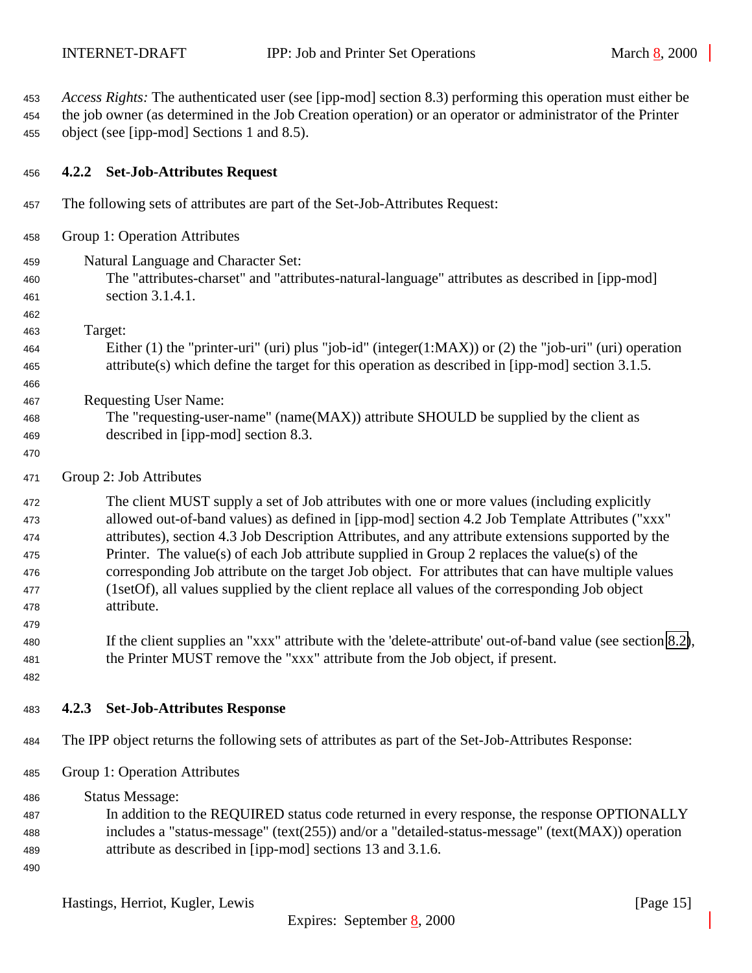<span id="page-14-0"></span> *Access Rights:* The authenticated user (see [ipp-mod] section 8.3) performing this operation must either be the job owner (as determined in the Job Creation operation) or an operator or administrator of the Printer object (see [ipp-mod] Sections 1 and 8.5).

### **4.2.2 Set-Job-Attributes Request**

- The following sets of attributes are part of the Set-Job-Attributes Request:
- Group 1: Operation Attributes
- Natural Language and Character Set:
- The "attributes-charset" and "attributes-natural-language" attributes as described in [ipp-mod] section 3.1.4.1.
- Target:

- Either (1) the "printer-uri" (uri) plus "job-id" (integer(1:MAX)) or (2) the "job-uri" (uri) operation attribute(s) which define the target for this operation as described in [ipp-mod] section 3.1.5.
- Requesting User Name:
- The "requesting-user-name" (name(MAX)) attribute SHOULD be supplied by the client as described in [ipp-mod] section 8.3.
- 
- Group 2: Job Attributes

 The client MUST supply a set of Job attributes with one or more values (including explicitly allowed out-of-band values) as defined in [ipp-mod] section 4.2 Job Template Attributes ("xxx" attributes), section 4.3 Job Description Attributes, and any attribute extensions supported by the Printer. The value(s) of each Job attribute supplied in Group 2 replaces the value(s) of the corresponding Job attribute on the target Job object. For attributes that can have multiple values (1setOf), all values supplied by the client replace all values of the corresponding Job object attribute.

- If the client supplies an "xxx" attribute with the 'delete-attribute' out-of-band value (see section [8.2\)](#page-23-0), the Printer MUST remove the "xxx" attribute from the Job object, if present.
- 

- **4.2.3 Set-Job-Attributes Response**
- The IPP object returns the following sets of attributes as part of the Set-Job-Attributes Response:
- Group 1: Operation Attributes
- Status Message: In addition to the REQUIRED status code returned in every response, the response OPTIONALLY includes a "status-message" (text(255)) and/or a "detailed-status-message" (text(MAX)) operation attribute as described in [ipp-mod] sections 13 and 3.1.6.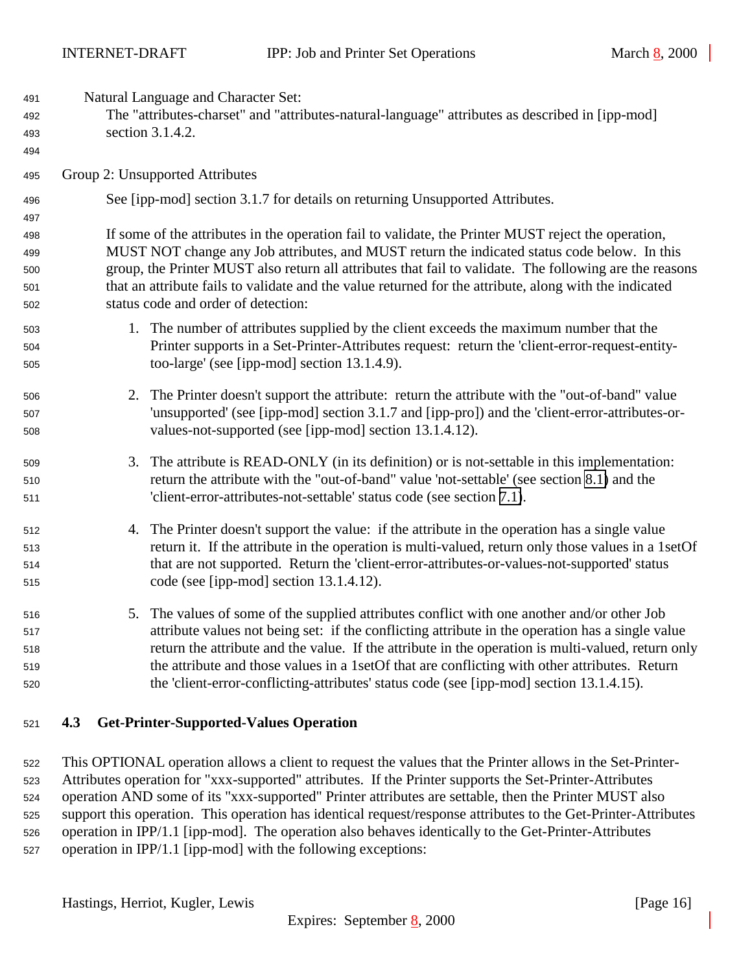<span id="page-15-0"></span>

| 491<br>492<br>493 |    | Natural Language and Character Set:<br>The "attributes-charset" and "attributes-natural-language" attributes as described in [ipp-mod]<br>section 3.1.4.2.                                              |
|-------------------|----|---------------------------------------------------------------------------------------------------------------------------------------------------------------------------------------------------------|
| 494               |    |                                                                                                                                                                                                         |
| 495               |    | Group 2: Unsupported Attributes                                                                                                                                                                         |
| 496               |    | See [ipp-mod] section 3.1.7 for details on returning Unsupported Attributes.                                                                                                                            |
| 497               |    |                                                                                                                                                                                                         |
| 498               |    | If some of the attributes in the operation fail to validate, the Printer MUST reject the operation,                                                                                                     |
| 499<br>500        |    | MUST NOT change any Job attributes, and MUST return the indicated status code below. In this<br>group, the Printer MUST also return all attributes that fail to validate. The following are the reasons |
| 501               |    | that an attribute fails to validate and the value returned for the attribute, along with the indicated                                                                                                  |
| 502               |    | status code and order of detection:                                                                                                                                                                     |
| 503               |    | 1. The number of attributes supplied by the client exceeds the maximum number that the                                                                                                                  |
| 504               |    | Printer supports in a Set-Printer-Attributes request: return the 'client-error-request-entity-                                                                                                          |
| 505               |    | too-large' (see [ipp-mod] section 13.1.4.9).                                                                                                                                                            |
| 506               |    | 2. The Printer doesn't support the attribute: return the attribute with the "out-of-band" value                                                                                                         |
| 507               |    | 'unsupported' (see [ipp-mod] section 3.1.7 and [ipp-pro]) and the 'client-error-attributes-or-                                                                                                          |
| 508               |    | values-not-supported (see [ipp-mod] section 13.1.4.12).                                                                                                                                                 |
| 509               | 3. | The attribute is READ-ONLY (in its definition) or is not-settable in this implementation:                                                                                                               |
| 510               |    | return the attribute with the "out-of-band" value 'not-settable' (see section 8.1) and the                                                                                                              |
| 511               |    | 'client-error-attributes-not-settable' status code (see section 7.1).                                                                                                                                   |
| 512               |    | 4. The Printer doesn't support the value: if the attribute in the operation has a single value                                                                                                          |
| 513               |    | return it. If the attribute in the operation is multi-valued, return only those values in a 1setOf                                                                                                      |
| 514               |    | that are not supported. Return the 'client-error-attributes-or-values-not-supported' status                                                                                                             |
| 515               |    | code (see [ipp-mod] section 13.1.4.12).                                                                                                                                                                 |
| 516               |    | 5. The values of some of the supplied attributes conflict with one another and/or other Job                                                                                                             |
| 517               |    | attribute values not being set: if the conflicting attribute in the operation has a single value                                                                                                        |
| 518               |    | return the attribute and the value. If the attribute in the operation is multi-valued, return only                                                                                                      |
| 519               |    | the attribute and those values in a 1set Of that are conflicting with other attributes. Return                                                                                                          |
| 520               |    | the 'client-error-conflicting-attributes' status code (see [ipp-mod] section 13.1.4.15).                                                                                                                |

## **4.3 Get-Printer-Supported-Values Operation**

 This OPTIONAL operation allows a client to request the values that the Printer allows in the Set-Printer- Attributes operation for "xxx-supported" attributes. If the Printer supports the Set-Printer-Attributes operation AND some of its "xxx-supported" Printer attributes are settable, then the Printer MUST also support this operation. This operation has identical request/response attributes to the Get-Printer-Attributes operation in IPP/1.1 [ipp-mod]. The operation also behaves identically to the Get-Printer-Attributes operation in IPP/1.1 [ipp-mod] with the following exceptions: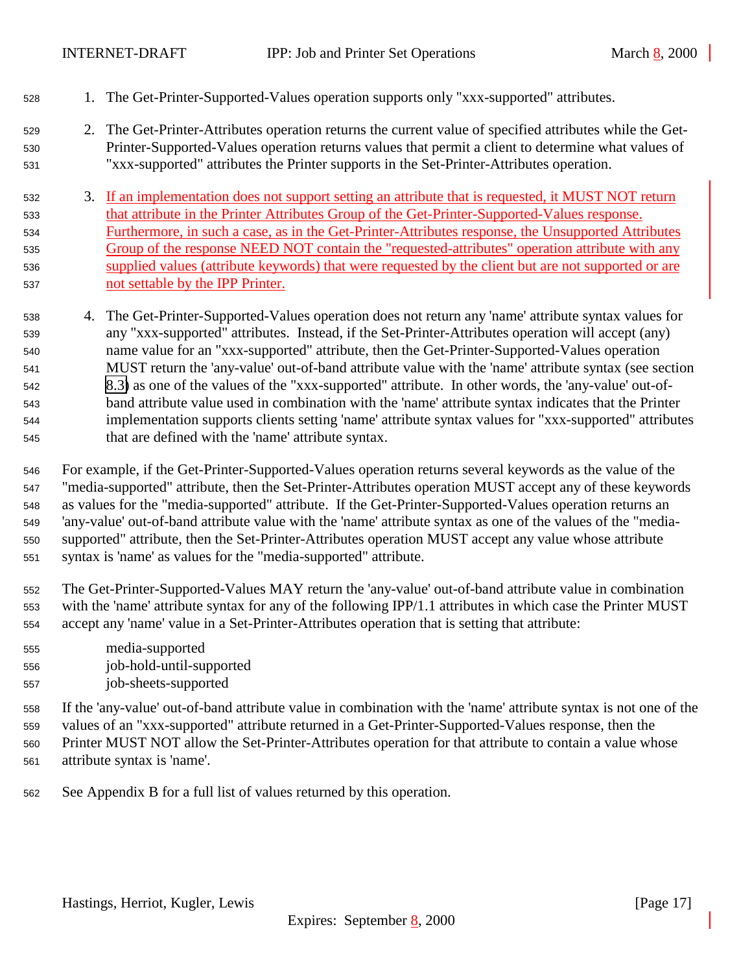- 1. The Get-Printer-Supported-Values operation supports only "xxx-supported" attributes.
- 2. The Get-Printer-Attributes operation returns the current value of specified attributes while the Get- Printer-Supported-Values operation returns values that permit a client to determine what values of "xxx-supported" attributes the Printer supports in the Set-Printer-Attributes operation.
- 3. If an implementation does not support setting an attribute that is requested, it MUST NOT return that attribute in the Printer Attributes Group of the Get-Printer-Supported-Values response. Furthermore, in such a case, as in the Get-Printer-Attributes response, the Unsupported Attributes Group of the response NEED NOT contain the "requested-attributes" operation attribute with any supplied values (attribute keywords) that were requested by the client but are not supported or are not settable by the IPP Printer.
- 4. The Get-Printer-Supported-Values operation does not return any 'name' attribute syntax values for any "xxx-supported" attributes. Instead, if the Set-Printer-Attributes operation will accept (any) name value for an "xxx-supported" attribute, then the Get-Printer-Supported-Values operation MUST return the 'any-value' out-of-band attribute value with the 'name' attribute syntax (see section [8.3\)](#page-23-0) as one of the values of the "xxx-supported" attribute. In other words, the 'any-value' out-of- band attribute value used in combination with the 'name' attribute syntax indicates that the Printer implementation supports clients setting 'name' attribute syntax values for "xxx-supported" attributes that are defined with the 'name' attribute syntax.
- For example, if the Get-Printer-Supported-Values operation returns several keywords as the value of the "media-supported" attribute, then the Set-Printer-Attributes operation MUST accept any of these keywords as values for the "media-supported" attribute. If the Get-Printer-Supported-Values operation returns an 'any-value' out-of-band attribute value with the 'name' attribute syntax as one of the values of the "media- supported" attribute, then the Set-Printer-Attributes operation MUST accept any value whose attribute syntax is 'name' as values for the "media-supported" attribute.
- The Get-Printer-Supported-Values MAY return the 'any-value' out-of-band attribute value in combination with the 'name' attribute syntax for any of the following IPP/1.1 attributes in which case the Printer MUST accept any 'name' value in a Set-Printer-Attributes operation that is setting that attribute:
- media-supported job-hold-until-supported
- job-sheets-supported
- If the 'any-value' out-of-band attribute value in combination with the 'name' attribute syntax is not one of the values of an "xxx-supported" attribute returned in a Get-Printer-Supported-Values response, then the Printer MUST NOT allow the Set-Printer-Attributes operation for that attribute to contain a value whose attribute syntax is 'name'.
- See Appendix B for a full list of values returned by this operation.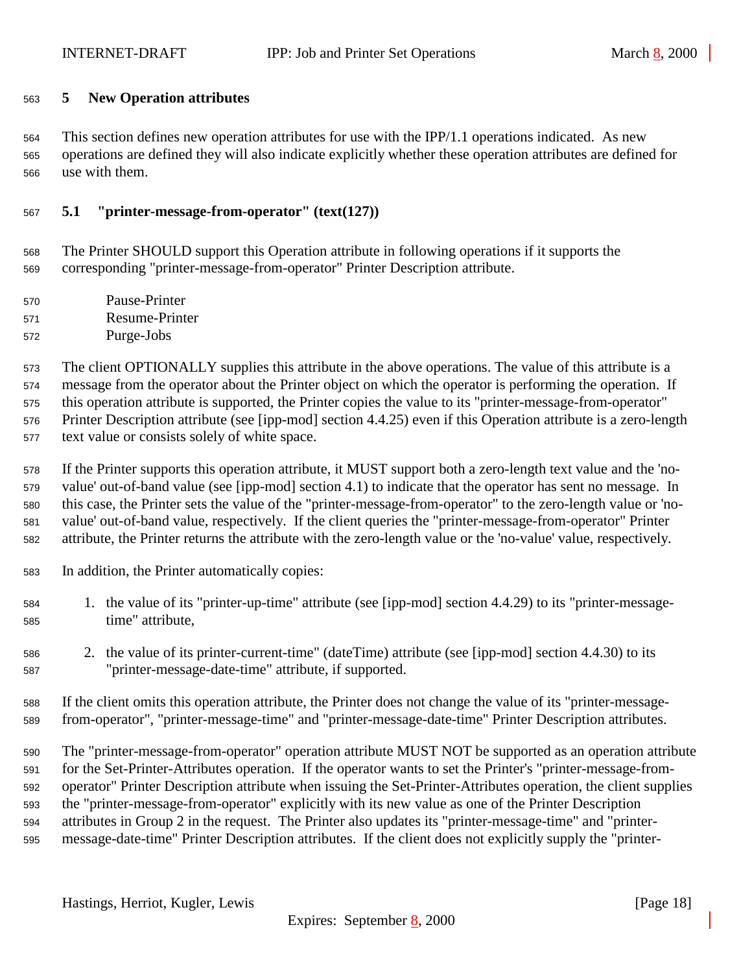## <span id="page-17-0"></span>**5 New Operation attributes**

 This section defines new operation attributes for use with the IPP/1.1 operations indicated. As new operations are defined they will also indicate explicitly whether these operation attributes are defined for use with them.

## **5.1 "printer-message-from-operator" (text(127))**

 The Printer SHOULD support this Operation attribute in following operations if it supports the corresponding "printer-message-from-operator" Printer Description attribute.

- Pause-Printer Resume-Printer
- Purge-Jobs

 The client OPTIONALLY supplies this attribute in the above operations. The value of this attribute is a message from the operator about the Printer object on which the operator is performing the operation. If this operation attribute is supported, the Printer copies the value to its "printer-message-from-operator" Printer Description attribute (see [ipp-mod] section 4.4.25) even if this Operation attribute is a zero-length text value or consists solely of white space.

 If the Printer supports this operation attribute, it MUST support both a zero-length text value and the 'no- value' out-of-band value (see [ipp-mod] section 4.1) to indicate that the operator has sent no message. In this case, the Printer sets the value of the "printer-message-from-operator" to the zero-length value or 'no- value' out-of-band value, respectively. If the client queries the "printer-message-from-operator" Printer attribute, the Printer returns the attribute with the zero-length value or the 'no-value' value, respectively.

- In addition, the Printer automatically copies:
- 1. the value of its "printer-up-time" attribute (see [ipp-mod] section 4.4.29) to its "printer-message-time" attribute,
- 2. the value of its printer-current-time" (dateTime) attribute (see [ipp-mod] section 4.4.30) to its "printer-message-date-time" attribute, if supported.
- If the client omits this operation attribute, the Printer does not change the value of its "printer-message-from-operator", "printer-message-time" and "printer-message-date-time" Printer Description attributes.

 The "printer-message-from-operator" operation attribute MUST NOT be supported as an operation attribute for the Set-Printer-Attributes operation. If the operator wants to set the Printer's "printer-message-from- operator" Printer Description attribute when issuing the Set-Printer-Attributes operation, the client supplies the "printer-message-from-operator" explicitly with its new value as one of the Printer Description attributes in Group 2 in the request. The Printer also updates its "printer-message-time" and "printer-message-date-time" Printer Description attributes. If the client does not explicitly supply the "printer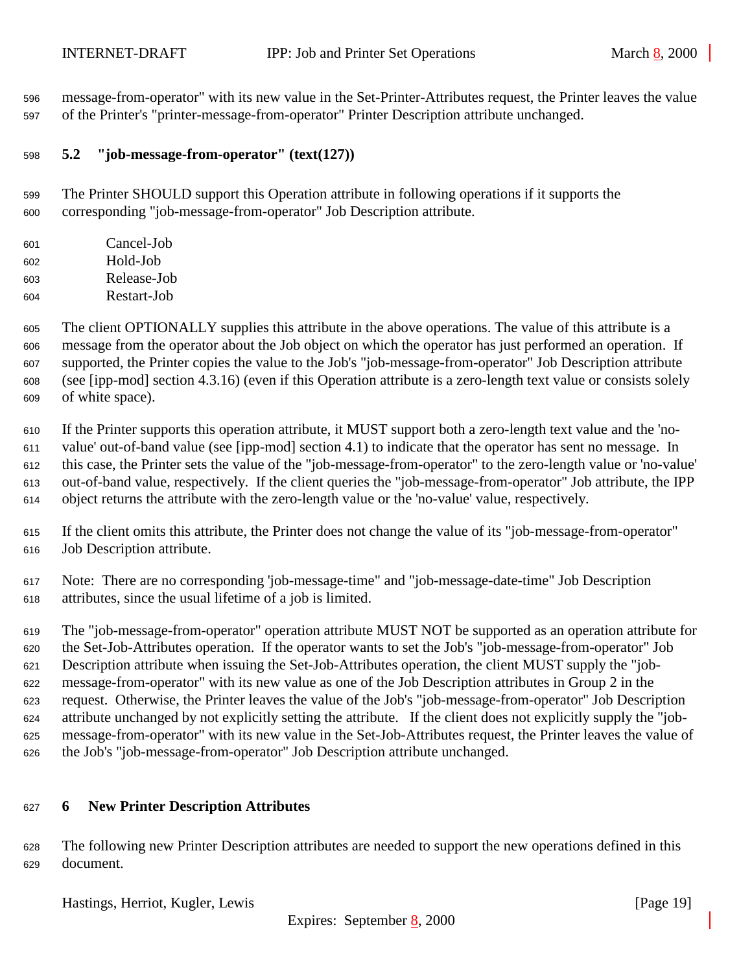<span id="page-18-0"></span> message-from-operator" with its new value in the Set-Printer-Attributes request, the Printer leaves the value of the Printer's "printer-message-from-operator" Printer Description attribute unchanged.

## **5.2 "job-message-from-operator" (text(127))**

 The Printer SHOULD support this Operation attribute in following operations if it supports the corresponding "job-message-from-operator" Job Description attribute.

| 601 | Cancel-Job  |
|-----|-------------|
| 602 | Hold-Job    |
| 603 | Release-Job |
| 604 | Restart-Job |

 The client OPTIONALLY supplies this attribute in the above operations. The value of this attribute is a message from the operator about the Job object on which the operator has just performed an operation. If supported, the Printer copies the value to the Job's "job-message-from-operator" Job Description attribute (see [ipp-mod] section 4.3.16) (even if this Operation attribute is a zero-length text value or consists solely of white space).

 If the Printer supports this operation attribute, it MUST support both a zero-length text value and the 'no- value' out-of-band value (see [ipp-mod] section 4.1) to indicate that the operator has sent no message. In this case, the Printer sets the value of the "job-message-from-operator" to the zero-length value or 'no-value' out-of-band value, respectively. If the client queries the "job-message-from-operator" Job attribute, the IPP object returns the attribute with the zero-length value or the 'no-value' value, respectively.

- If the client omits this attribute, the Printer does not change the value of its "job-message-from-operator" Job Description attribute.
- Note: There are no corresponding 'job-message-time" and "job-message-date-time" Job Description attributes, since the usual lifetime of a job is limited.

 The "job-message-from-operator" operation attribute MUST NOT be supported as an operation attribute for the Set-Job-Attributes operation. If the operator wants to set the Job's "job-message-from-operator" Job Description attribute when issuing the Set-Job-Attributes operation, the client MUST supply the "job- message-from-operator" with its new value as one of the Job Description attributes in Group 2 in the request. Otherwise, the Printer leaves the value of the Job's "job-message-from-operator" Job Description attribute unchanged by not explicitly setting the attribute. If the client does not explicitly supply the "job- message-from-operator" with its new value in the Set-Job-Attributes request, the Printer leaves the value of the Job's "job-message-from-operator" Job Description attribute unchanged.

## **6 New Printer Description Attributes**

 The following new Printer Description attributes are needed to support the new operations defined in this document.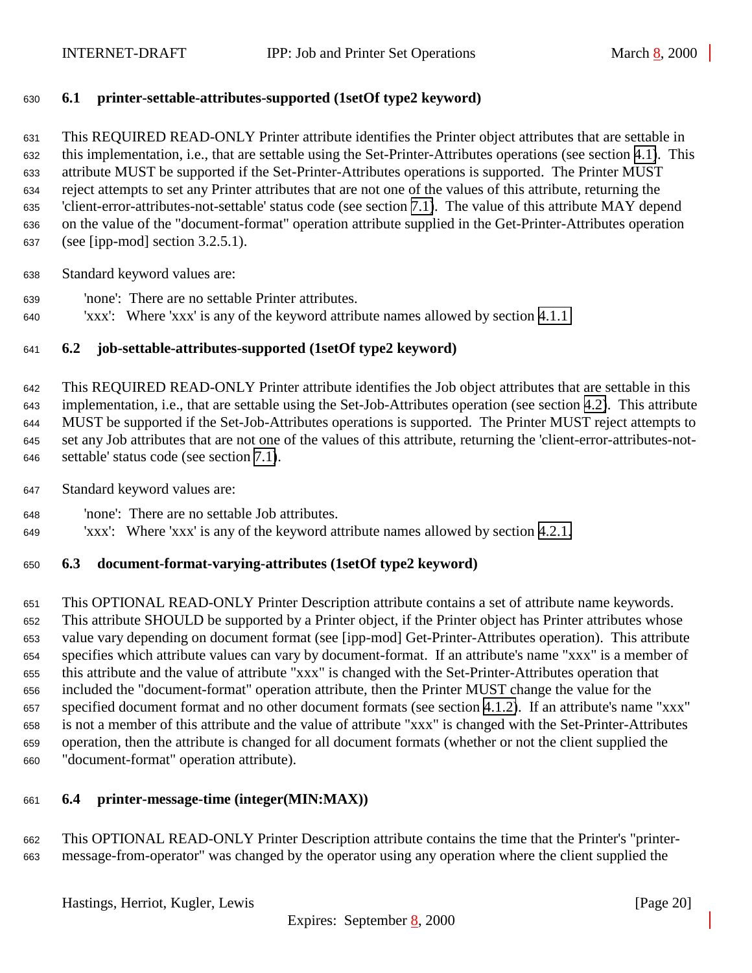## <span id="page-19-0"></span>**6.1 printer-settable-attributes-supported (1setOf type2 keyword)**

 This REQUIRED READ-ONLY Printer attribute identifies the Printer object attributes that are settable in this implementation, i.e., that are settable using the Set-Printer-Attributes operations (see section [4.1\)](#page-7-0). This attribute MUST be supported if the Set-Printer-Attributes operations is supported. The Printer MUST reject attempts to set any Printer attributes that are not one of the values of this attribute, returning the 'client-error-attributes-not-settable' status code (see section [7.1\)](#page-22-0). The value of this attribute MAY depend on the value of the "document-format" operation attribute supplied in the Get-Printer-Attributes operation (see [ipp-mod] section 3.2.5.1).

Standard keyword values are:

- 'none': There are no settable Printer attributes.
- 'xxx': Where 'xxx' is any of the keyword attribute names allowed by section [4.1.1](#page-8-0)

## **6.2 job-settable-attributes-supported (1setOf type2 keyword)**

 This REQUIRED READ-ONLY Printer attribute identifies the Job object attributes that are settable in this implementation, i.e., that are settable using the Set-Job-Attributes operation (see section [4.2\)](#page-11-0). This attribute MUST be supported if the Set-Job-Attributes operations is supported. The Printer MUST reject attempts to set any Job attributes that are not one of the values of this attribute, returning the 'client-error-attributes-not-settable' status code (see section [7.1\)](#page-22-0).

- Standard keyword values are:
- 'none': There are no settable Job attributes.
- 'xxx': Where 'xxx' is any of the keyword attribute names allowed by section [4.2.1.](#page-13-0)

## **6.3 document-format-varying-attributes (1setOf type2 keyword)**

 This OPTIONAL READ-ONLY Printer Description attribute contains a set of attribute name keywords. This attribute SHOULD be supported by a Printer object, if the Printer object has Printer attributes whose value vary depending on document format (see [ipp-mod] Get-Printer-Attributes operation). This attribute specifies which attribute values can vary by document-format. If an attribute's name "xxx" is a member of this attribute and the value of attribute "xxx" is changed with the Set-Printer-Attributes operation that included the "document-format" operation attribute, then the Printer MUST change the value for the specified document format and no other document formats (see section [4.1.2\)](#page-9-0). If an attribute's name "xxx" is not a member of this attribute and the value of attribute "xxx" is changed with the Set-Printer-Attributes operation, then the attribute is changed for all document formats (whether or not the client supplied the "document-format" operation attribute).

### **6.4 printer-message-time (integer(MIN:MAX))**

 This OPTIONAL READ-ONLY Printer Description attribute contains the time that the Printer's "printer-message-from-operator" was changed by the operator using any operation where the client supplied the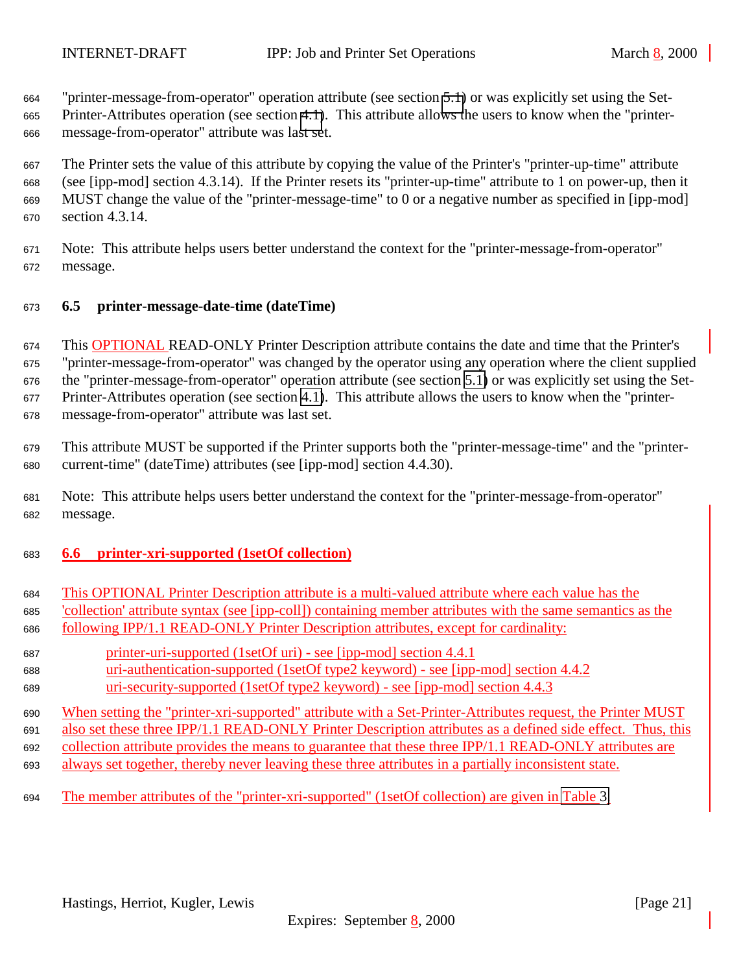<span id="page-20-0"></span> "printer-message-from-operator" operation attribute (see section [5.1\)](#page-17-0) or was explicitly set using the Set- Printer-Attributes operation (see section [4.1\)](#page-7-0). This attribute allows the users to know when the "printer-message-from-operator" attribute was last set.

 The Printer sets the value of this attribute by copying the value of the Printer's "printer-up-time" attribute (see [ipp-mod] section 4.3.14). If the Printer resets its "printer-up-time" attribute to 1 on power-up, then it MUST change the value of the "printer-message-time" to 0 or a negative number as specified in [ipp-mod] section 4.3.14.

 Note: This attribute helps users better understand the context for the "printer-message-from-operator" message.

## **6.5 printer-message-date-time (dateTime)**

 This OPTIONAL READ-ONLY Printer Description attribute contains the date and time that the Printer's "printer-message-from-operator" was changed by the operator using any operation where the client supplied the "printer-message-from-operator" operation attribute (see section [5.1\)](#page-17-0) or was explicitly set using the Set- Printer-Attributes operation (see section [4.1\)](#page-7-0). This attribute allows the users to know when the "printer-message-from-operator" attribute was last set.

 This attribute MUST be supported if the Printer supports both the "printer-message-time" and the "printer-current-time" (dateTime) attributes (see [ipp-mod] section 4.4.30).

 Note: This attribute helps users better understand the context for the "printer-message-from-operator" message.

## **6.6 printer-xri-supported (1setOf collection)**

- This OPTIONAL Printer Description attribute is a multi-valued attribute where each value has the 'collection' attribute syntax (see [ipp-coll]) containing member attributes with the same semantics as the following IPP/1.1 READ-ONLY Printer Description attributes, except for cardinality:
- printer-uri-supported (1setOf uri) see [ipp-mod] section 4.4.1 uri-authentication-supported (1setOf type2 keyword) - see [ipp-mod] section 4.4.2
- uri-security-supported (1setOf type2 keyword) see [ipp-mod] section 4.4.3

 When setting the "printer-xri-supported" attribute with a Set-Printer-Attributes request, the Printer MUST also set these three IPP/1.1 READ-ONLY Printer Description attributes as a defined side effect. Thus, this collection attribute provides the means to guarantee that these three IPP/1.1 READ-ONLY attributes are always set together, thereby never leaving these three attributes in a partially inconsistent state.

The member attributes of the "printer-xri-supported" (1setOf collection) are given in [Table 3.](#page-21-0)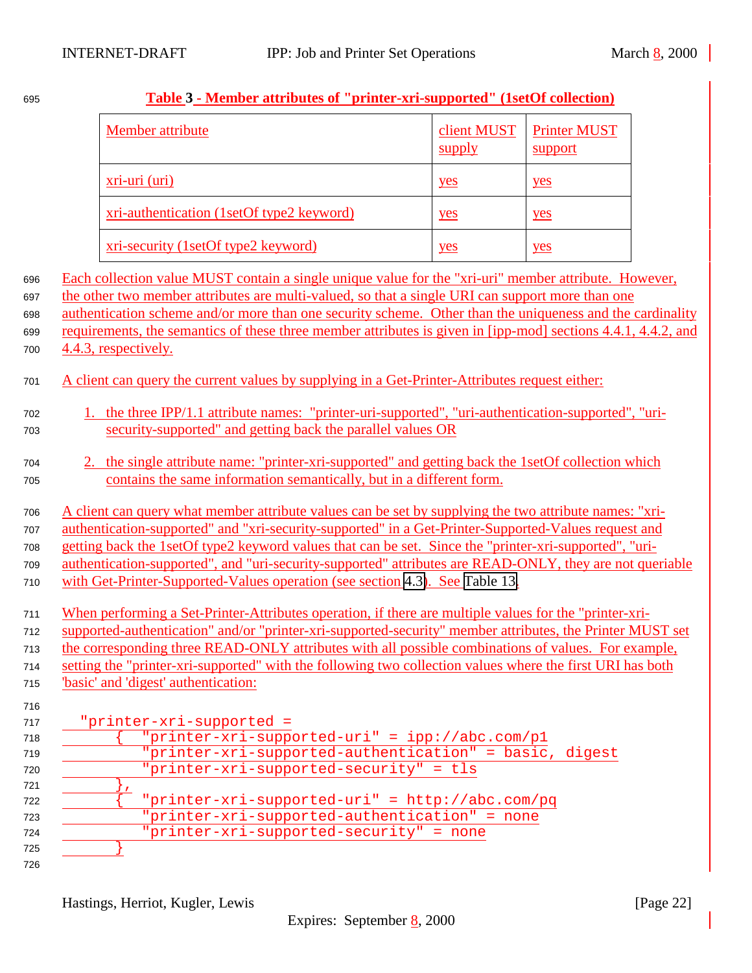|                                                             | Member attribute                                                                                                                                                                                                                                                                                                                                                                                                                                                                                                                                                                                                               | client MUST<br>supply | <b>Printer MUST</b><br>support |  |  |
|-------------------------------------------------------------|--------------------------------------------------------------------------------------------------------------------------------------------------------------------------------------------------------------------------------------------------------------------------------------------------------------------------------------------------------------------------------------------------------------------------------------------------------------------------------------------------------------------------------------------------------------------------------------------------------------------------------|-----------------------|--------------------------------|--|--|
|                                                             | xri-uri (uri)                                                                                                                                                                                                                                                                                                                                                                                                                                                                                                                                                                                                                  | yes                   | yes                            |  |  |
|                                                             | xri-authentication (1setOf type2 keyword)                                                                                                                                                                                                                                                                                                                                                                                                                                                                                                                                                                                      | yes                   | yes                            |  |  |
|                                                             | xri-security (1setOf type2 keyword)                                                                                                                                                                                                                                                                                                                                                                                                                                                                                                                                                                                            | yes                   | yes                            |  |  |
| 696<br>697<br>698<br>699<br>700                             | Each collection value MUST contain a single unique value for the "xri-uri" member attribute. However,<br>the other two member attributes are multi-valued, so that a single URI can support more than one<br>authentication scheme and/or more than one security scheme. Other than the uniqueness and the cardinality<br>requirements, the semantics of these three member attributes is given in [ipp-mod] sections 4.4.1, 4.4.2, and<br>4.4.3, respectively.                                                                                                                                                                |                       |                                |  |  |
| 701<br>702<br>703<br>704<br>705                             | A client can query the current values by supplying in a Get-Printer-Attributes request either:<br>the three IPP/1.1 attribute names: "printer-uri-supported", "uri-authentication-supported", "uri-<br>security-supported" and getting back the parallel values OR<br>the single attribute name: "printer-xri-supported" and getting back the 1setOf collection which<br>contains the same information semantically, but in a different form.                                                                                                                                                                                  |                       |                                |  |  |
| 706<br>707<br>708<br>709<br>710<br>711                      | A client can query what member attribute values can be set by supplying the two attribute names: "xri-<br>authentication-supported" and "xri-security-supported" in a Get-Printer-Supported-Values request and<br>getting back the 1setOf type2 keyword values that can be set. Since the "printer-xri-supported", "uri-<br>authentication-supported", and "uri-security-supported" attributes are READ-ONLY, they are not queriable<br>with Get-Printer-Supported-Values operation (see section 4.3). See Table 13.<br>When performing a Set-Printer-Attributes operation, if there are multiple values for the "printer-xri- |                       |                                |  |  |
| 712<br>713<br>714<br>715<br>716                             | supported-authentication" and/or "printer-xri-supported-security" member attributes, the Printer MUST set<br>the corresponding three READ-ONLY attributes with all possible combinations of values. For example,<br>setting the "printer-xri-supported" with the following two collection values where the first URI has both<br>"basic' and 'digest' authentication:                                                                                                                                                                                                                                                          |                       |                                |  |  |
| 717<br>718<br>719<br>720<br>721<br>722<br>723<br>724<br>725 | "printer-xri-supported =<br>"printer-xri-supported-uri" = ipp://abc.com/p1<br>"printer-xri-supported-authentication" = basic, digest<br>"printer-xri-supported-security" = tls<br>"printer-xri-supported-uri" = http://abc.com/pq<br>"printer-xri-supported-authentication" = none<br>"printer-xri-supported-security" = none                                                                                                                                                                                                                                                                                                  |                       |                                |  |  |

# <span id="page-21-0"></span>**Table 3 - Member attributes of "printer-xri-supported" (1setOf collection)**

Hastings, Herriot, Kugler, Lewis [Page 22]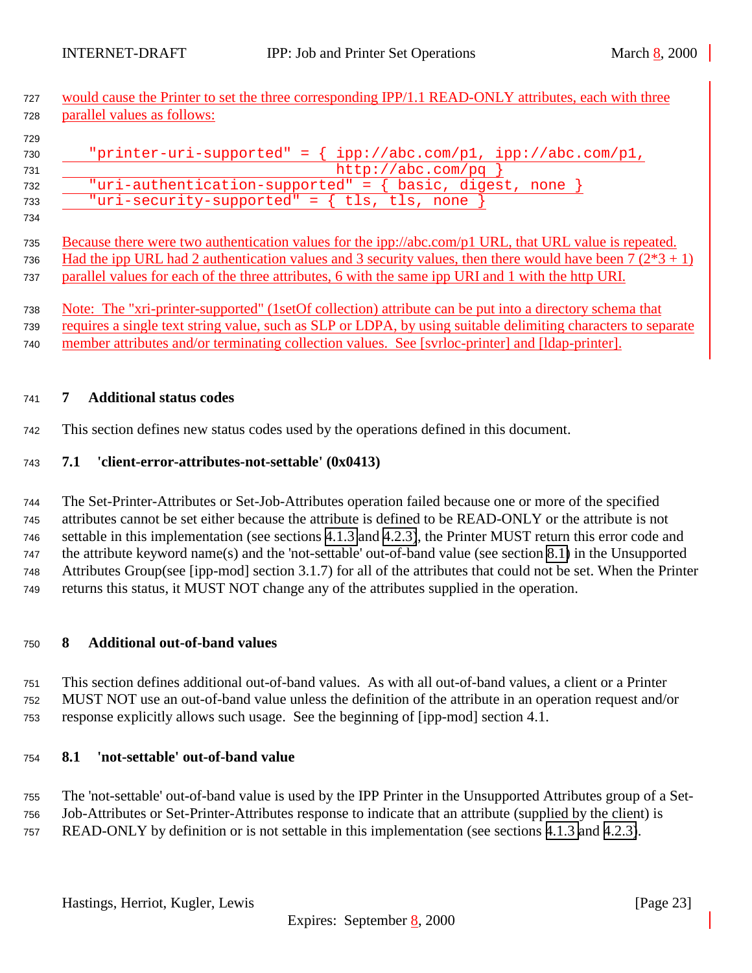<span id="page-22-0"></span>727 would cause the Printer to set the three corresponding IPP/1.1 READ-ONLY attributes, each with three parallel values as follows:

| "printer-uri-supported" = $\{ \text{ipp://abc.com/p1}, \text{ipp://abc.com/p1}, \text{app://abc.com/p1}, \text{app://abc.com/p1}, \text{app://abc.com/p1}, \text{app://abc.com/p1}, \text{app://abc.com/p1}, \text{app://abc.com/p1}, \text{app://abc.com/p1}, \text{app://abc.com/p1}, \text{app://abc.com/p1}, \text{app://abc.com/p1}, \text{app://abc.com/p1}, \text{app://abc.com/p1}, \text{app://abc.com/p1}, \text{app://abc.com/p1}, \text{app://abc.com/p1}, \text{app://abc.com/p1}, \text{app://abc.com/p1}, \text$ |
|---------------------------------------------------------------------------------------------------------------------------------------------------------------------------------------------------------------------------------------------------------------------------------------------------------------------------------------------------------------------------------------------------------------------------------------------------------------------------------------------------------------------------------|
| http://abc.com/pq                                                                                                                                                                                                                                                                                                                                                                                                                                                                                                               |
| "uri-authentication-supported" = $\{$ basic, digest, none                                                                                                                                                                                                                                                                                                                                                                                                                                                                       |
| "uri-security-supported" = $\{$ tls, tls, none                                                                                                                                                                                                                                                                                                                                                                                                                                                                                  |
|                                                                                                                                                                                                                                                                                                                                                                                                                                                                                                                                 |

 Because there were two authentication values for the ipp://abc.com/p1 URL, that URL value is repeated. 736 Had the ipp URL had 2 authentication values and 3 security values, then there would have been  $7(2*3 + 1)$ parallel values for each of the three attributes, 6 with the same ipp URI and 1 with the http URI.

 Note: The "xri-printer-supported" (1setOf collection) attribute can be put into a directory schema that requires a single text string value, such as SLP or LDPA, by using suitable delimiting characters to separate member attributes and/or terminating collection values. See [svrloc-printer] and [ldap-printer].

## **7 Additional status codes**

This section defines new status codes used by the operations defined in this document.

## **7.1 'client-error-attributes-not-settable' (0x0413)**

 The Set-Printer-Attributes or Set-Job-Attributes operation failed because one or more of the specified attributes cannot be set either because the attribute is defined to be READ-ONLY or the attribute is not settable in this implementation (see sections [4.1.3](#page-10-0) and [4.2.3\)](#page-14-0), the Printer MUST return this error code and the attribute keyword name(s) and the 'not-settable' out-of-band value (see section 8.1) in the Unsupported Attributes Group(see [ipp-mod] section 3.1.7) for all of the attributes that could not be set. When the Printer returns this status, it MUST NOT change any of the attributes supplied in the operation.

## **8 Additional out-of-band values**

 This section defines additional out-of-band values. As with all out-of-band values, a client or a Printer MUST NOT use an out-of-band value unless the definition of the attribute in an operation request and/or response explicitly allows such usage. See the beginning of [ipp-mod] section 4.1.

## **8.1 'not-settable' out-of-band value**

 The 'not-settable' out-of-band value is used by the IPP Printer in the Unsupported Attributes group of a Set- Job-Attributes or Set-Printer-Attributes response to indicate that an attribute (supplied by the client) is READ-ONLY by definition or is not settable in this implementation (see sections [4.1.3](#page-10-0) and [4.2.3\)](#page-14-0).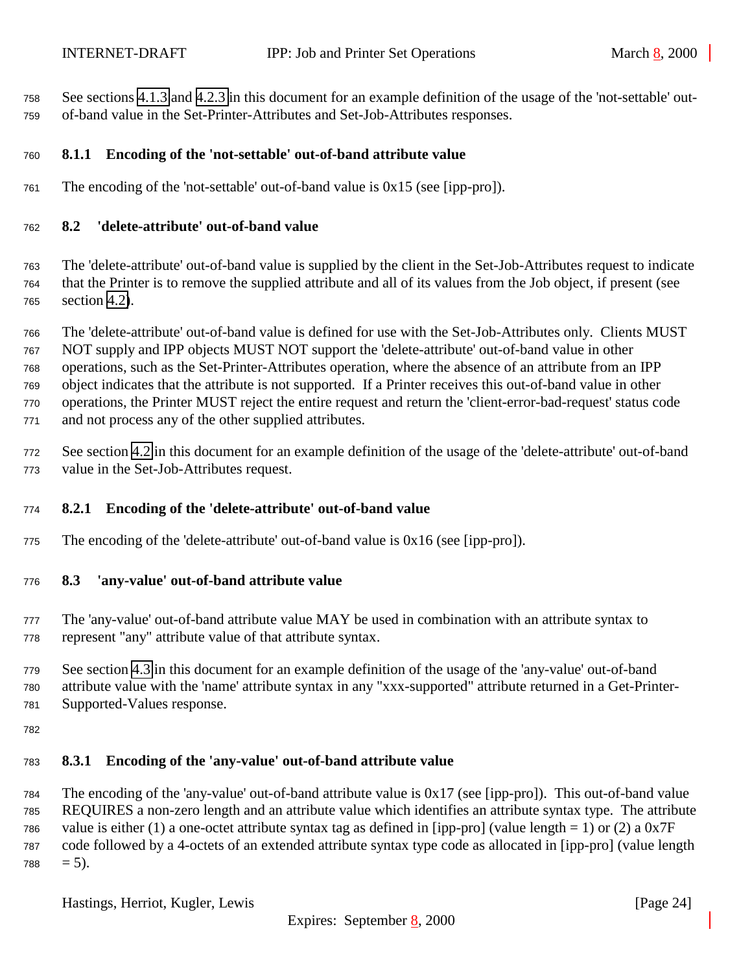<span id="page-23-0"></span> See sections [4.1.3](#page-10-0) and [4.2.3](#page-14-0) in this document for an example definition of the usage of the 'not-settable' out-of-band value in the Set-Printer-Attributes and Set-Job-Attributes responses.

## **8.1.1 Encoding of the 'not-settable' out-of-band attribute value**

The encoding of the 'not-settable' out-of-band value is 0x15 (see [ipp-pro]).

## **8.2 'delete-attribute' out-of-band value**

 The 'delete-attribute' out-of-band value is supplied by the client in the Set-Job-Attributes request to indicate that the Printer is to remove the supplied attribute and all of its values from the Job object, if present (see section [4.2\)](#page-11-0).

 The 'delete-attribute' out-of-band value is defined for use with the Set-Job-Attributes only. Clients MUST NOT supply and IPP objects MUST NOT support the 'delete-attribute' out-of-band value in other operations, such as the Set-Printer-Attributes operation, where the absence of an attribute from an IPP object indicates that the attribute is not supported. If a Printer receives this out-of-band value in other operations, the Printer MUST reject the entire request and return the 'client-error-bad-request' status code and not process any of the other supplied attributes.

 See section [4.2](#page-11-0) in this document for an example definition of the usage of the 'delete-attribute' out-of-band value in the Set-Job-Attributes request.

### **8.2.1 Encoding of the 'delete-attribute' out-of-band value**

The encoding of the 'delete-attribute' out-of-band value is 0x16 (see [ipp-pro]).

#### **8.3 'any-value' out-of-band attribute value**

 The 'any-value' out-of-band attribute value MAY be used in combination with an attribute syntax to represent "any" attribute value of that attribute syntax.

 See section [4.3](#page-15-0) in this document for an example definition of the usage of the 'any-value' out-of-band attribute value with the 'name' attribute syntax in any "xxx-supported" attribute returned in a Get-Printer-Supported-Values response.

#### **8.3.1 Encoding of the 'any-value' out-of-band attribute value**

 The encoding of the 'any-value' out-of-band attribute value is 0x17 (see [ipp-pro]). This out-of-band value REQUIRES a non-zero length and an attribute value which identifies an attribute syntax type. The attribute 786 value is either (1) a one-octet attribute syntax tag as defined in [ipp-pro] (value length = 1) or (2) a  $0x7F$  code followed by a 4-octets of an extended attribute syntax type code as allocated in [ipp-pro] (value length  $788 = 5$ ).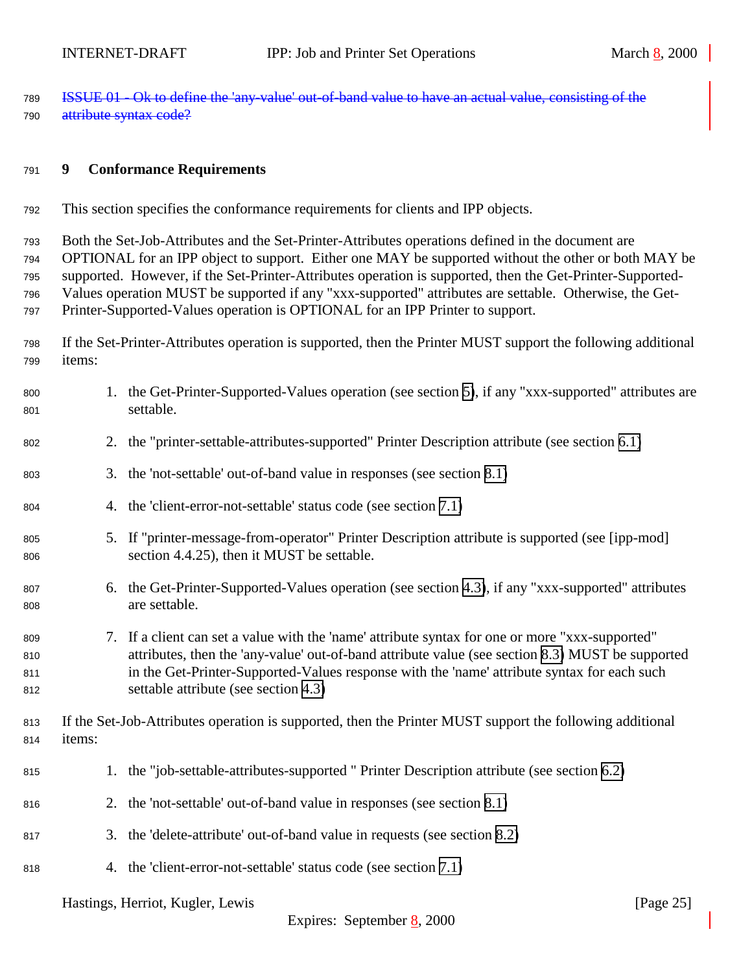<span id="page-24-0"></span> ISSUE 01 - Ok to define the 'any-value' out-of-band value to have an actual value, consisting of the 790 attribute syntax code?

#### **9 Conformance Requirements**

This section specifies the conformance requirements for clients and IPP objects.

 Both the Set-Job-Attributes and the Set-Printer-Attributes operations defined in the document are OPTIONAL for an IPP object to support. Either one MAY be supported without the other or both MAY be supported. However, if the Set-Printer-Attributes operation is supported, then the Get-Printer-Supported- Values operation MUST be supported if any "xxx-supported" attributes are settable. Otherwise, the Get-Printer-Supported-Values operation is OPTIONAL for an IPP Printer to support.

 If the Set-Printer-Attributes operation is supported, then the Printer MUST support the following additional items:

| 800<br>801               |        | 1. the Get-Printer-Supported-Values operation (see section 5), if any "xxx-supported" attributes are<br>settable.                                                                                                                                                                                                                          |
|--------------------------|--------|--------------------------------------------------------------------------------------------------------------------------------------------------------------------------------------------------------------------------------------------------------------------------------------------------------------------------------------------|
| 802                      |        | 2. the "printer-settable-attributes-supported" Printer Description attribute (see section 6.1)                                                                                                                                                                                                                                             |
| 803                      |        | 3. the 'not-settable' out-of-band value in responses (see section 8.1)                                                                                                                                                                                                                                                                     |
| 804                      |        | 4. the 'client-error-not-settable' status code (see section 7.1)                                                                                                                                                                                                                                                                           |
| 805<br>806               |        | 5. If "printer-message-from-operator" Printer Description attribute is supported (see [ipp-mod]<br>section 4.4.25), then it MUST be settable.                                                                                                                                                                                              |
| 807<br>808               |        | 6. the Get-Printer-Supported-Values operation (see section 4.3), if any "xxx-supported" attributes<br>are settable.                                                                                                                                                                                                                        |
| 809<br>810<br>811<br>812 |        | 7. If a client can set a value with the 'name' attribute syntax for one or more "xxx-supported"<br>attributes, then the 'any-value' out-of-band attribute value (see section 8.3) MUST be supported<br>in the Get-Printer-Supported-Values response with the 'name' attribute syntax for each such<br>settable attribute (see section 4.3) |
| 813<br>814               | items: | If the Set-Job-Attributes operation is supported, then the Printer MUST support the following additional                                                                                                                                                                                                                                   |
| 815                      |        | 1. the "job-settable-attributes-supported" Printer Description attribute (see section 6.2)                                                                                                                                                                                                                                                 |
| 816                      |        | 2. the 'not-settable' out-of-band value in responses (see section 8.1)                                                                                                                                                                                                                                                                     |
| 817                      |        | 3. the 'delete-attribute' out-of-band value in requests (see section 8.2)                                                                                                                                                                                                                                                                  |
| 818                      |        | 4. the 'client-error-not-settable' status code (see section 7.1)                                                                                                                                                                                                                                                                           |
|                          |        |                                                                                                                                                                                                                                                                                                                                            |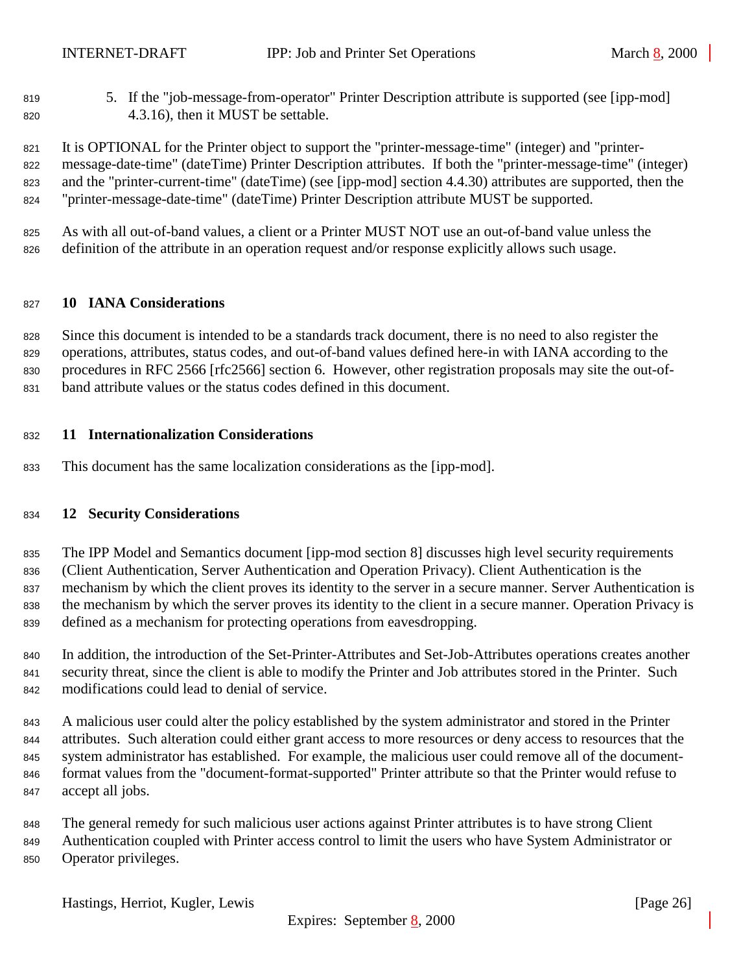<span id="page-25-0"></span> 5. If the "job-message-from-operator" Printer Description attribute is supported (see [ipp-mod] 4.3.16), then it MUST be settable.

 It is OPTIONAL for the Printer object to support the "printer-message-time" (integer) and "printer- message-date-time" (dateTime) Printer Description attributes. If both the "printer-message-time" (integer) and the "printer-current-time" (dateTime) (see [ipp-mod] section 4.4.30) attributes are supported, then the "printer-message-date-time" (dateTime) Printer Description attribute MUST be supported.

 As with all out-of-band values, a client or a Printer MUST NOT use an out-of-band value unless the definition of the attribute in an operation request and/or response explicitly allows such usage.

### **10 IANA Considerations**

 Since this document is intended to be a standards track document, there is no need to also register the operations, attributes, status codes, and out-of-band values defined here-in with IANA according to the procedures in RFC 2566 [rfc2566] section 6. However, other registration proposals may site the out-of-band attribute values or the status codes defined in this document.

#### **11 Internationalization Considerations**

This document has the same localization considerations as the [ipp-mod].

## **12 Security Considerations**

 The IPP Model and Semantics document [ipp-mod section 8] discusses high level security requirements (Client Authentication, Server Authentication and Operation Privacy). Client Authentication is the mechanism by which the client proves its identity to the server in a secure manner. Server Authentication is the mechanism by which the server proves its identity to the client in a secure manner. Operation Privacy is defined as a mechanism for protecting operations from eavesdropping.

- In addition, the introduction of the Set-Printer-Attributes and Set-Job-Attributes operations creates another security threat, since the client is able to modify the Printer and Job attributes stored in the Printer. Such modifications could lead to denial of service.
- A malicious user could alter the policy established by the system administrator and stored in the Printer attributes. Such alteration could either grant access to more resources or deny access to resources that the system administrator has established. For example, the malicious user could remove all of the document- format values from the "document-format-supported" Printer attribute so that the Printer would refuse to accept all jobs.
- The general remedy for such malicious user actions against Printer attributes is to have strong Client
- Authentication coupled with Printer access control to limit the users who have System Administrator or Operator privileges.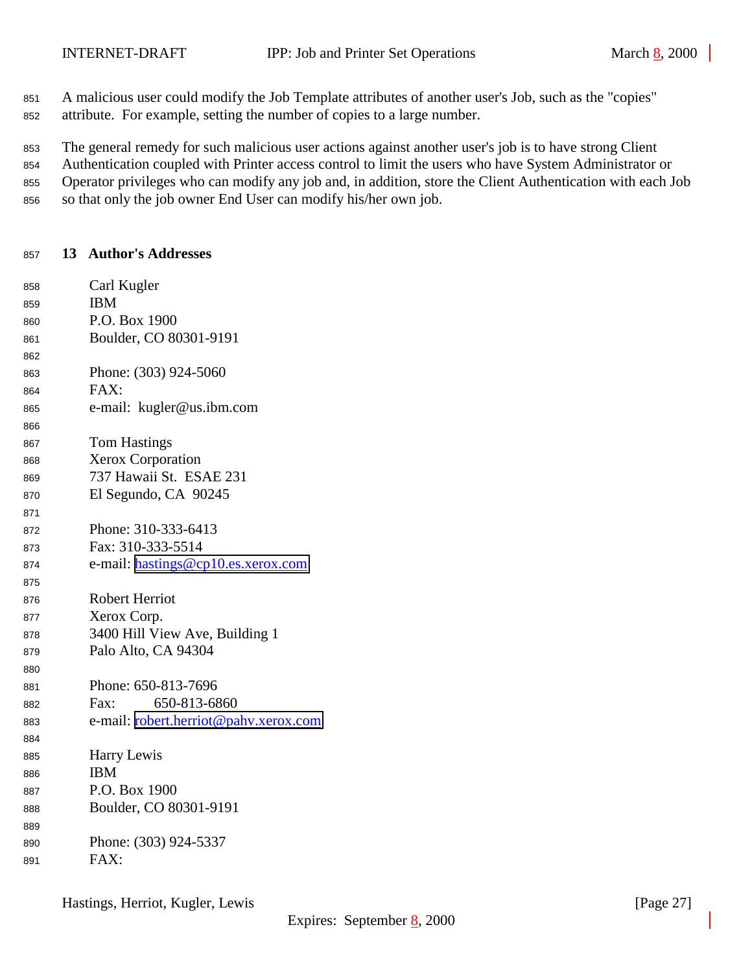<span id="page-26-0"></span>A malicious user could modify the Job Template attributes of another user's Job, such as the "copies"

attribute. For example, setting the number of copies to a large number.

The general remedy for such malicious user actions against another user's job is to have strong Client

Authentication coupled with Printer access control to limit the users who have System Administrator or

- Operator privileges who can modify any job and, in addition, store the Client Authentication with each Job
- so that only the job owner End User can modify his/her own job.

# **13 Author's Addresses**

| 858 | Carl Kugler                           |
|-----|---------------------------------------|
| 859 | <b>IBM</b>                            |
| 860 | P.O. Box 1900                         |
| 861 | Boulder, CO 80301-9191                |
| 862 |                                       |
| 863 | Phone: (303) 924-5060                 |
| 864 | FAX:                                  |
| 865 | e-mail: kugler@us.ibm.com             |
| 866 |                                       |
| 867 | <b>Tom Hastings</b>                   |
| 868 | Xerox Corporation                     |
| 869 | 737 Hawaii St. ESAE 231               |
| 870 | El Segundo, CA 90245                  |
| 871 |                                       |
| 872 | Phone: 310-333-6413                   |
| 873 | Fax: 310-333-5514                     |
| 874 | e-mail: hastings@cp10.es.xerox.com    |
| 875 |                                       |
| 876 | <b>Robert Herriot</b>                 |
| 877 | Xerox Corp.                           |
| 878 | 3400 Hill View Ave, Building 1        |
| 879 | Palo Alto, CA 94304                   |
| 880 |                                       |
| 881 | Phone: 650-813-7696                   |
| 882 | 650-813-6860<br>Fax:                  |
| 883 | e-mail: robert.herriot@pahv.xerox.com |
| 884 |                                       |
| 885 | Harry Lewis                           |
| 886 | <b>IBM</b>                            |
| 887 | P.O. Box 1900                         |
| 888 | Boulder, CO 80301-9191                |
| 889 |                                       |
| 890 | Phone: (303) 924-5337                 |
| 891 | FAX:                                  |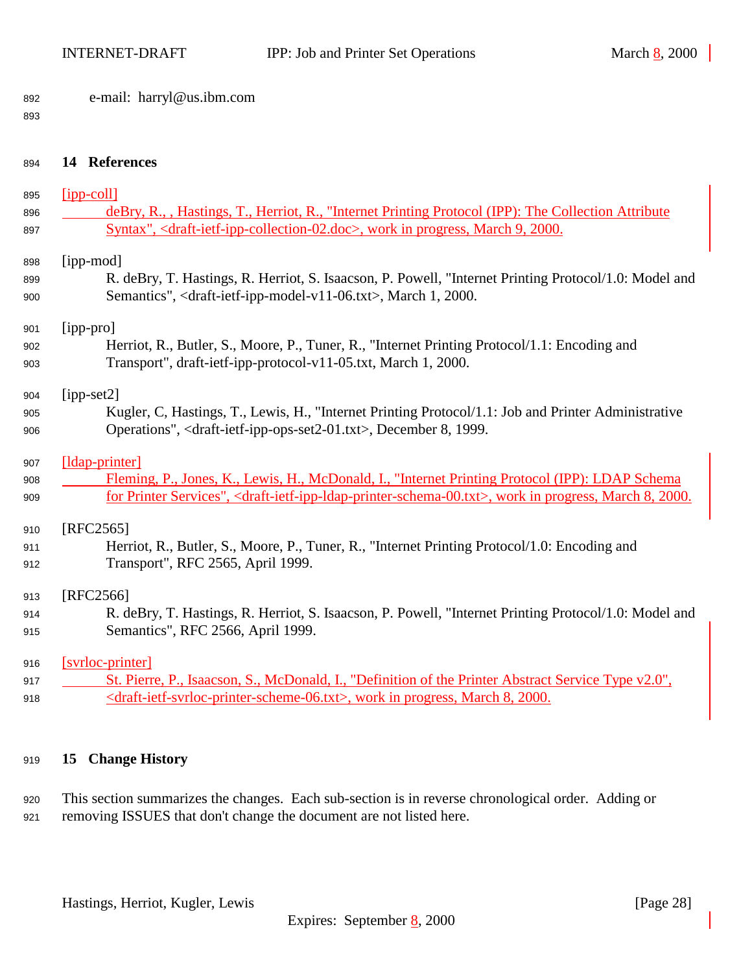<span id="page-27-0"></span>

|  | 892 |  | e-mail: harryl@us.ibm.com |  |
|--|-----|--|---------------------------|--|
|--|-----|--|---------------------------|--|

#### 

| 894        | 14 References                                                                                                                                                                                                           |
|------------|-------------------------------------------------------------------------------------------------------------------------------------------------------------------------------------------------------------------------|
| 895        | $[ipp-coll]$                                                                                                                                                                                                            |
| 896<br>897 | deBry, R., , Hastings, T., Herriot, R., "Internet Printing Protocol (IPP): The Collection Attribute<br>Syntax", <draft-ietf-ipp-collection-02.doc>, work in progress, March 9, 2000.</draft-ietf-ipp-collection-02.doc> |
| 898        | [ipp-mod]                                                                                                                                                                                                               |
| 899<br>900 | R. deBry, T. Hastings, R. Herriot, S. Isaacson, P. Powell, "Internet Printing Protocol/1.0: Model and<br>Semantics", <draft-ietf-ipp-model-v11-06.txt>, March 1, 2000.</draft-ietf-ipp-model-v11-06.txt>                |
| 901        | [ipp-pro]                                                                                                                                                                                                               |
| 902        | Herriot, R., Butler, S., Moore, P., Tuner, R., "Internet Printing Protocol/1.1: Encoding and                                                                                                                            |
| 903        | Transport", draft-ietf-ipp-protocol-v11-05.txt, March 1, 2000.                                                                                                                                                          |
| 904        | $[ipp-set2]$                                                                                                                                                                                                            |
| 905        | Kugler, C, Hastings, T., Lewis, H., "Internet Printing Protocol/1.1: Job and Printer Administrative                                                                                                                     |
| 906        | Operations", <draft-ietf-ipp-ops-set2-01.txt>, December 8, 1999.</draft-ietf-ipp-ops-set2-01.txt>                                                                                                                       |
| 907        | [ldap-printer]                                                                                                                                                                                                          |
| 908        | Fleming, P., Jones, K., Lewis, H., McDonald, I., "Internet Printing Protocol (IPP): LDAP Schema                                                                                                                         |
| 909        | for Printer Services", <draft-ietf-ipp-idap-printer-schema-00.txt>, work in progress, March 8, 2000.</draft-ietf-ipp-idap-printer-schema-00.txt>                                                                        |
| 910        | [RFC2565]                                                                                                                                                                                                               |
| 911        | Herriot, R., Butler, S., Moore, P., Tuner, R., "Internet Printing Protocol/1.0: Encoding and                                                                                                                            |
| 912        | Transport", RFC 2565, April 1999.                                                                                                                                                                                       |
| 913        | [RFC2566]                                                                                                                                                                                                               |
| 914        | R. deBry, T. Hastings, R. Herriot, S. Isaacson, P. Powell, "Internet Printing Protocol/1.0: Model and                                                                                                                   |
| 915        | Semantics", RFC 2566, April 1999.                                                                                                                                                                                       |
| 916        | [svrloc-printer]                                                                                                                                                                                                        |

917 St. Pierre, P., Isaacson, S., McDonald, I., "Definition of the Printer Abstract Service Type v2.0", 918 <draft-ietf-svrloc-printer-scheme-06.txt>, work in progress, March 8, 2000.

## **15 Change History**

 This section summarizes the changes. Each sub-section is in reverse chronological order. Adding or removing ISSUES that don't change the document are not listed here.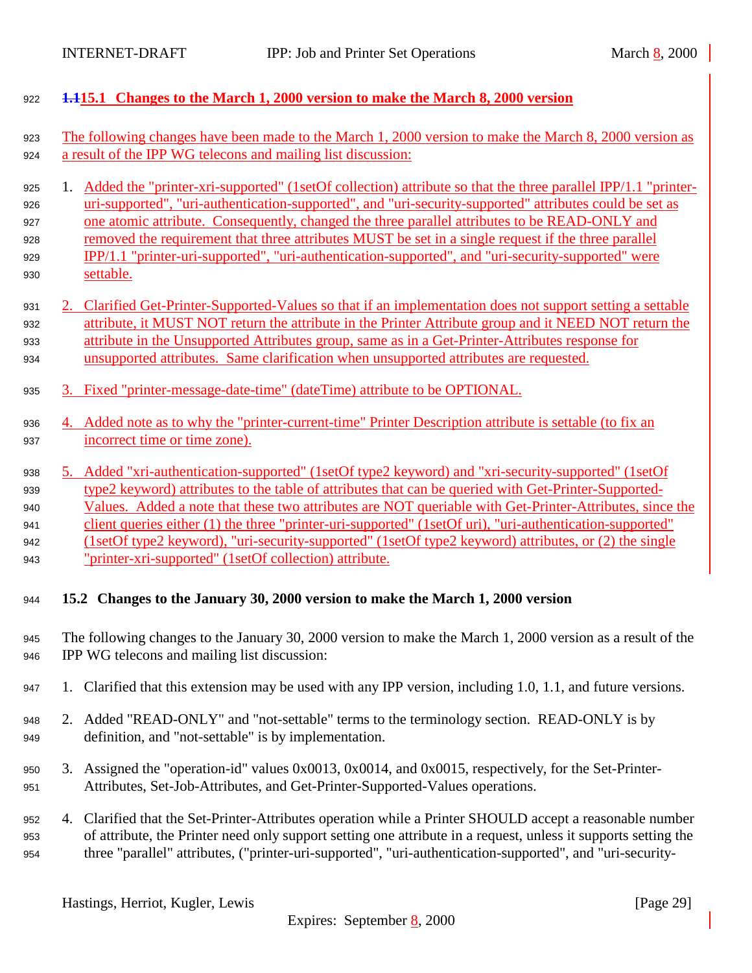<span id="page-28-0"></span><sup>922</sup> **1.115.1 Changes to the March 1, 2000 version to make the March 8, 2000 version**

| 923                                    | The following changes have been made to the March 1, 2000 version to make the March 8, 2000 version as                                                                                                                                                                                                                                                                                                                                                                                                                                                   |
|----------------------------------------|----------------------------------------------------------------------------------------------------------------------------------------------------------------------------------------------------------------------------------------------------------------------------------------------------------------------------------------------------------------------------------------------------------------------------------------------------------------------------------------------------------------------------------------------------------|
| 924                                    | a result of the IPP WG telecons and mailing list discussion:                                                                                                                                                                                                                                                                                                                                                                                                                                                                                             |
| 925<br>926<br>927<br>928<br>929<br>930 | Added the "printer-xri-supported" (1setOf collection) attribute so that the three parallel IPP/1.1 "printer-<br>1.<br>uri-supported", "uri-authentication-supported", and "uri-security-supported" attributes could be set as<br>one atomic attribute. Consequently, changed the three parallel attributes to be READ-ONLY and<br>removed the requirement that three attributes MUST be set in a single request if the three parallel<br>IPP/1.1 "printer-uri-supported", "uri-authentication-supported", and "uri-security-supported" were<br>settable. |
| 931                                    | Clarified Get-Printer-Supported-Values so that if an implementation does not support setting a settable                                                                                                                                                                                                                                                                                                                                                                                                                                                  |
| 932                                    | attribute, it MUST NOT return the attribute in the Printer Attribute group and it NEED NOT return the                                                                                                                                                                                                                                                                                                                                                                                                                                                    |
| 933                                    | attribute in the Unsupported Attributes group, same as in a Get-Printer-Attributes response for                                                                                                                                                                                                                                                                                                                                                                                                                                                          |
| 934                                    | unsupported attributes. Same clarification when unsupported attributes are requested.                                                                                                                                                                                                                                                                                                                                                                                                                                                                    |
| 935                                    | 3. Fixed "printer-message-date-time" (dateTime) attribute to be OPTIONAL.                                                                                                                                                                                                                                                                                                                                                                                                                                                                                |
| 936                                    | 4. Added note as to why the "printer-current-time" Printer Description attribute is settable (to fix an                                                                                                                                                                                                                                                                                                                                                                                                                                                  |
| 937                                    | incorrect time or time zone).                                                                                                                                                                                                                                                                                                                                                                                                                                                                                                                            |
| 938                                    | 5. Added "xri-authentication-supported" (1setOf type2 keyword) and "xri-security-supported" (1setOf                                                                                                                                                                                                                                                                                                                                                                                                                                                      |
| 939                                    | type2 keyword) attributes to the table of attributes that can be queried with Get-Printer-Supported-                                                                                                                                                                                                                                                                                                                                                                                                                                                     |
| 940                                    | Values. Added a note that these two attributes are NOT queriable with Get-Printer-Attributes, since the                                                                                                                                                                                                                                                                                                                                                                                                                                                  |
| 941                                    | client queries either (1) the three "printer-uri-supported" (1setOf uri), "uri-authentication-supported"                                                                                                                                                                                                                                                                                                                                                                                                                                                 |
| 942                                    | (1setOf type2 keyword), "uri-security-supported" (1setOf type2 keyword) attributes, or (2) the single                                                                                                                                                                                                                                                                                                                                                                                                                                                    |
| 943                                    | "printer-xri-supported" (1setOf collection) attribute.                                                                                                                                                                                                                                                                                                                                                                                                                                                                                                   |
| 944                                    | 15.2 Changes to the January 30, 2000 version to make the March 1, 2000 version                                                                                                                                                                                                                                                                                                                                                                                                                                                                           |
| 945                                    | The following changes to the January 30, 2000 version to make the March 1, 2000 version as a result of the                                                                                                                                                                                                                                                                                                                                                                                                                                               |
| 946                                    | IPP WG telecons and mailing list discussion:                                                                                                                                                                                                                                                                                                                                                                                                                                                                                                             |
| 947                                    | 1. Clarified that this extension may be used with any IPP version, including 1.0, 1.1, and future versions.                                                                                                                                                                                                                                                                                                                                                                                                                                              |
| 948                                    | 2. Added "READ-ONLY" and "not-settable" terms to the terminology section. READ-ONLY is by                                                                                                                                                                                                                                                                                                                                                                                                                                                                |
| 949                                    | definition, and "not-settable" is by implementation.                                                                                                                                                                                                                                                                                                                                                                                                                                                                                                     |
| 950                                    | 3. Assigned the "operation-id" values 0x0013, 0x0014, and 0x0015, respectively, for the Set-Printer-                                                                                                                                                                                                                                                                                                                                                                                                                                                     |
| 951                                    | Attributes, Set-Job-Attributes, and Get-Printer-Supported-Values operations.                                                                                                                                                                                                                                                                                                                                                                                                                                                                             |
| 952                                    | 4. Clarified that the Set-Printer-Attributes operation while a Printer SHOULD accept a reasonable number                                                                                                                                                                                                                                                                                                                                                                                                                                                 |
| 953                                    | of attribute, the Printer need only support setting one attribute in a request, unless it supports setting the                                                                                                                                                                                                                                                                                                                                                                                                                                           |
| 954                                    | three "parallel" attributes, ("printer-uri-supported", "uri-authentication-supported", and "uri-security-                                                                                                                                                                                                                                                                                                                                                                                                                                                |
|                                        | Hastings, Herriot, Kugler, Lewis<br>[Page 29]<br>Expires: September $8,2000$                                                                                                                                                                                                                                                                                                                                                                                                                                                                             |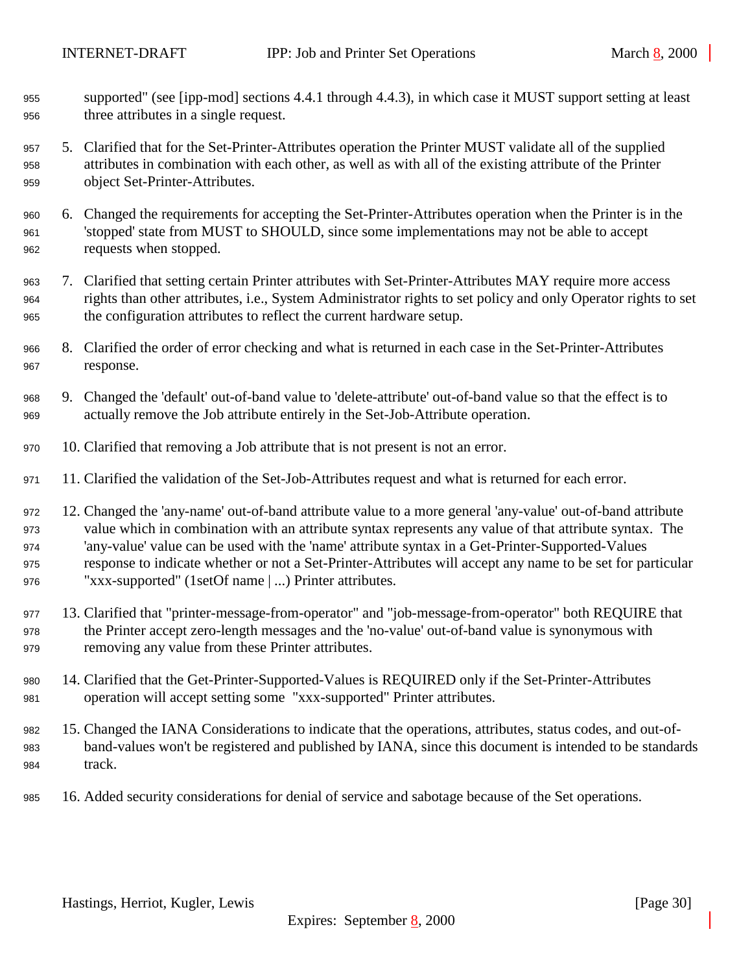- supported" (see [ipp-mod] sections 4.4.1 through 4.4.3), in which case it MUST support setting at least three attributes in a single request.
- 5. Clarified that for the Set-Printer-Attributes operation the Printer MUST validate all of the supplied attributes in combination with each other, as well as with all of the existing attribute of the Printer object Set-Printer-Attributes.
- 6. Changed the requirements for accepting the Set-Printer-Attributes operation when the Printer is in the 'stopped' state from MUST to SHOULD, since some implementations may not be able to accept requests when stopped.
- 7. Clarified that setting certain Printer attributes with Set-Printer-Attributes MAY require more access rights than other attributes, i.e., System Administrator rights to set policy and only Operator rights to set the configuration attributes to reflect the current hardware setup.
- 8. Clarified the order of error checking and what is returned in each case in the Set-Printer-Attributes response.
- 9. Changed the 'default' out-of-band value to 'delete-attribute' out-of-band value so that the effect is to actually remove the Job attribute entirely in the Set-Job-Attribute operation.
- 10. Clarified that removing a Job attribute that is not present is not an error.
- 11. Clarified the validation of the Set-Job-Attributes request and what is returned for each error.
- 12. Changed the 'any-name' out-of-band attribute value to a more general 'any-value' out-of-band attribute value which in combination with an attribute syntax represents any value of that attribute syntax. The 'any-value' value can be used with the 'name' attribute syntax in a Get-Printer-Supported-Values response to indicate whether or not a Set-Printer-Attributes will accept any name to be set for particular "xxx-supported" (1setOf name | ...) Printer attributes.
- 13. Clarified that "printer-message-from-operator" and "job-message-from-operator" both REQUIRE that the Printer accept zero-length messages and the 'no-value' out-of-band value is synonymous with removing any value from these Printer attributes.
- 14. Clarified that the Get-Printer-Supported-Values is REQUIRED only if the Set-Printer-Attributes operation will accept setting some "xxx-supported" Printer attributes.
- 15. Changed the IANA Considerations to indicate that the operations, attributes, status codes, and out-of- band-values won't be registered and published by IANA, since this document is intended to be standards 984 track.
- 16. Added security considerations for denial of service and sabotage because of the Set operations.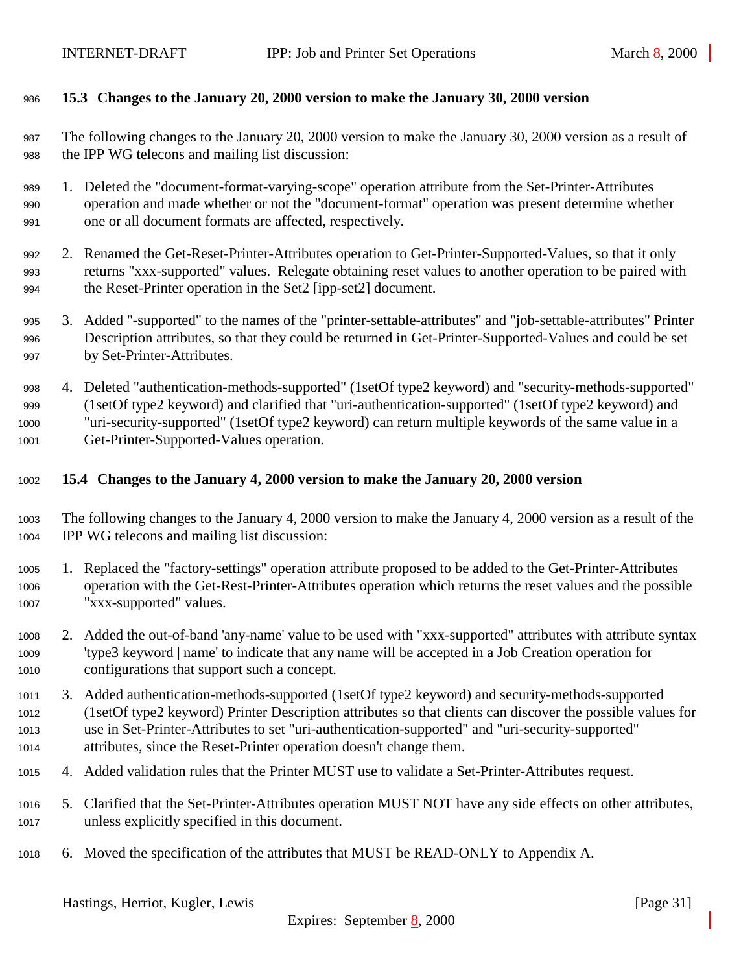## <span id="page-30-0"></span>**15.3 Changes to the January 20, 2000 version to make the January 30, 2000 version**

 The following changes to the January 20, 2000 version to make the January 30, 2000 version as a result of the IPP WG telecons and mailing list discussion:

- 1. Deleted the "document-format-varying-scope" operation attribute from the Set-Printer-Attributes operation and made whether or not the "document-format" operation was present determine whether one or all document formats are affected, respectively.
- 2. Renamed the Get-Reset-Printer-Attributes operation to Get-Printer-Supported-Values, so that it only returns "xxx-supported" values. Relegate obtaining reset values to another operation to be paired with the Reset-Printer operation in the Set2 [ipp-set2] document.
- 3. Added "-supported" to the names of the "printer-settable-attributes" and "job-settable-attributes" Printer Description attributes, so that they could be returned in Get-Printer-Supported-Values and could be set by Set-Printer-Attributes.
- 4. Deleted "authentication-methods-supported" (1setOf type2 keyword) and "security-methods-supported" (1setOf type2 keyword) and clarified that "uri-authentication-supported" (1setOf type2 keyword) and "uri-security-supported" (1setOf type2 keyword) can return multiple keywords of the same value in a Get-Printer-Supported-Values operation.

### **15.4 Changes to the January 4, 2000 version to make the January 20, 2000 version**

- The following changes to the January 4, 2000 version to make the January 4, 2000 version as a result of the IPP WG telecons and mailing list discussion:
- 1. Replaced the "factory-settings" operation attribute proposed to be added to the Get-Printer-Attributes operation with the Get-Rest-Printer-Attributes operation which returns the reset values and the possible "xxx-supported" values.
- 2. Added the out-of-band 'any-name' value to be used with "xxx-supported" attributes with attribute syntax 'type3 keyword | name' to indicate that any name will be accepted in a Job Creation operation for configurations that support such a concept.
- 3. Added authentication-methods-supported (1setOf type2 keyword) and security-methods-supported (1setOf type2 keyword) Printer Description attributes so that clients can discover the possible values for use in Set-Printer-Attributes to set "uri-authentication-supported" and "uri-security-supported" attributes, since the Reset-Printer operation doesn't change them.
- 4. Added validation rules that the Printer MUST use to validate a Set-Printer-Attributes request.
- 5. Clarified that the Set-Printer-Attributes operation MUST NOT have any side effects on other attributes, unless explicitly specified in this document.
- 6. Moved the specification of the attributes that MUST be READ-ONLY to Appendix A.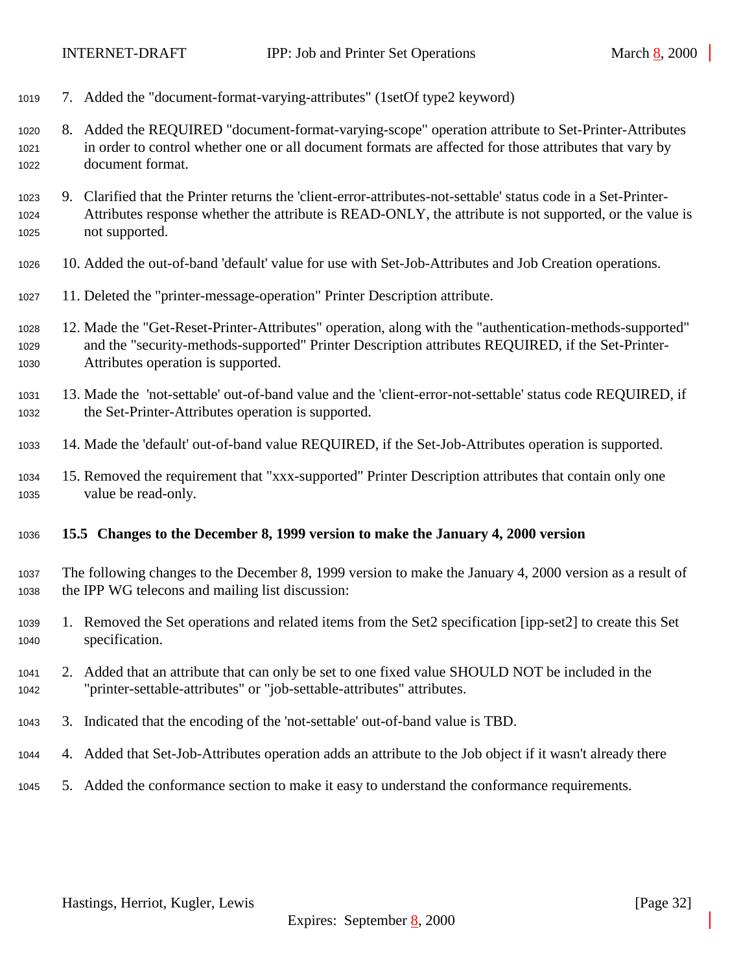- <span id="page-31-0"></span>7. Added the "document-format-varying-attributes" (1setOf type2 keyword)
- 8. Added the REQUIRED "document-format-varying-scope" operation attribute to Set-Printer-Attributes in order to control whether one or all document formats are affected for those attributes that vary by document format.
- 9. Clarified that the Printer returns the 'client-error-attributes-not-settable' status code in a Set-Printer- Attributes response whether the attribute is READ-ONLY, the attribute is not supported, or the value is not supported.
- 10. Added the out-of-band 'default' value for use with Set-Job-Attributes and Job Creation operations.
- 11. Deleted the "printer-message-operation" Printer Description attribute.
- 12. Made the "Get-Reset-Printer-Attributes" operation, along with the "authentication-methods-supported" and the "security-methods-supported" Printer Description attributes REQUIRED, if the Set-Printer-Attributes operation is supported.
- 13. Made the 'not-settable' out-of-band value and the 'client-error-not-settable' status code REQUIRED, if the Set-Printer-Attributes operation is supported.
- 14. Made the 'default' out-of-band value REQUIRED, if the Set-Job-Attributes operation is supported.
- 15. Removed the requirement that "xxx-supported" Printer Description attributes that contain only one value be read-only.
- **15.5 Changes to the December 8, 1999 version to make the January 4, 2000 version**
- The following changes to the December 8, 1999 version to make the January 4, 2000 version as a result of the IPP WG telecons and mailing list discussion:
- 1. Removed the Set operations and related items from the Set2 specification [ipp-set2] to create this Set specification.
- 2. Added that an attribute that can only be set to one fixed value SHOULD NOT be included in the "printer-settable-attributes" or "job-settable-attributes" attributes.
- 3. Indicated that the encoding of the 'not-settable' out-of-band value is TBD.
- 4. Added that Set-Job-Attributes operation adds an attribute to the Job object if it wasn't already there
- 5. Added the conformance section to make it easy to understand the conformance requirements.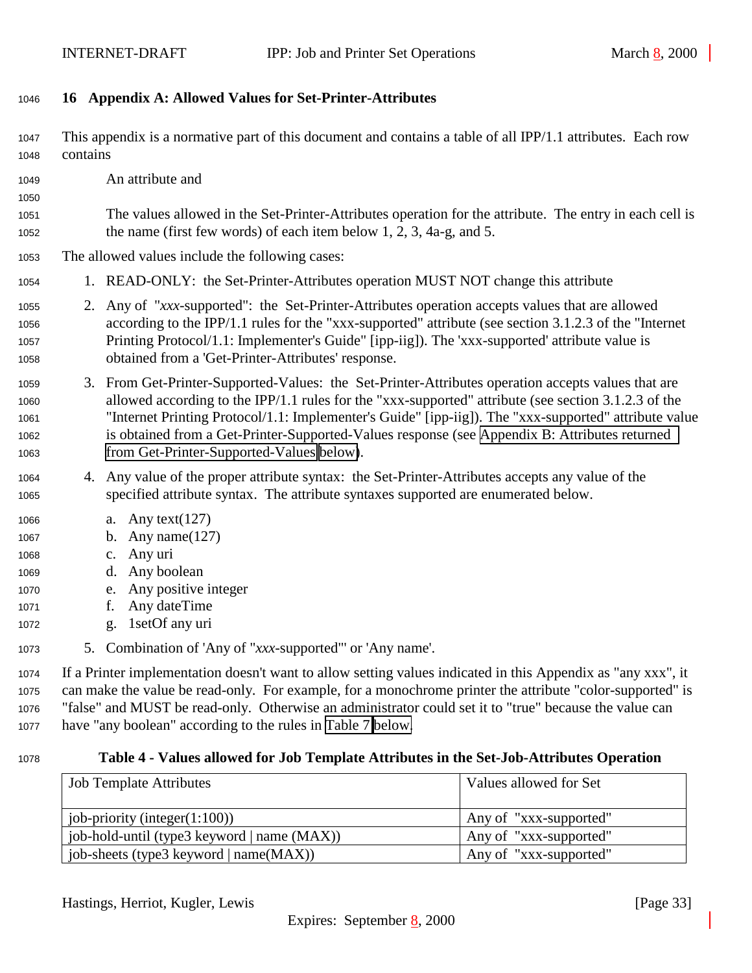## <span id="page-32-0"></span>**16 Appendix A: Allowed Values for Set-Printer-Attributes**

 This appendix is a normative part of this document and contains a table of all IPP/1.1 attributes. Each row contains

An attribute and

 The values allowed in the Set-Printer-Attributes operation for the attribute. The entry in each cell is the name (first few words) of each item below 1, 2, 3, 4a-g, and 5.

## The allowed values include the following cases:

- 1. READ-ONLY: the Set-Printer-Attributes operation MUST NOT change this attribute
- 2. Any of "*xxx*-supported": the Set-Printer-Attributes operation accepts values that are allowed according to the IPP/1.1 rules for the "xxx-supported" attribute (see section 3.1.2.3 of the "Internet Printing Protocol/1.1: Implementer's Guide" [ipp-iig]). The 'xxx-supported' attribute value is obtained from a 'Get-Printer-Attributes' response.
- 3. From Get-Printer-Supported-Values: the Set-Printer-Attributes operation accepts values that are allowed according to the IPP/1.1 rules for the "xxx-supported" attribute (see section 3.1.2.3 of the "Internet Printing Protocol/1.1: Implementer's Guide" [ipp-iig]). The "xxx-supported" attribute value is obtained from a Get-Printer-Supported-Values response (see [Appendix B: Attributes returned](#page-36-0) [from Get-Printer-Supported-Values below\)](#page-36-0).
- 4. Any value of the proper attribute syntax: the Set-Printer-Attributes accepts any value of the specified attribute syntax. The attribute syntaxes supported are enumerated below.
- a. Any text(127)
- b. Any name(127)
- c. Any uri
- d. Any boolean
- e. Any positive integer
- f. Any dateTime
- g. 1setOf any uri
- 5. Combination of 'Any of "*xxx*-supported"' or 'Any name'.

 If a Printer implementation doesn't want to allow setting values indicated in this Appendix as "any xxx", it can make the value be read-only. For example, for a monochrome printer the attribute "color-supported" is "false" and MUST be read-only. Otherwise an administrator could set it to "true" because the value can have "any boolean" according to the rules in [Table 7 below.](#page-34-0)

#### **Table 4 - Values allowed for Job Template Attributes in the Set-Job-Attributes Operation**

| <b>Job Template Attributes</b>              | Values allowed for Set |
|---------------------------------------------|------------------------|
|                                             |                        |
| job-priority (integer $(1:100)$ )           | Any of "xxx-supported" |
| job-hold-until (type3 keyword   name (MAX)) | Any of "xxx-supported" |
| job-sheets (type3 keyword   name(MAX))      | Any of "xxx-supported" |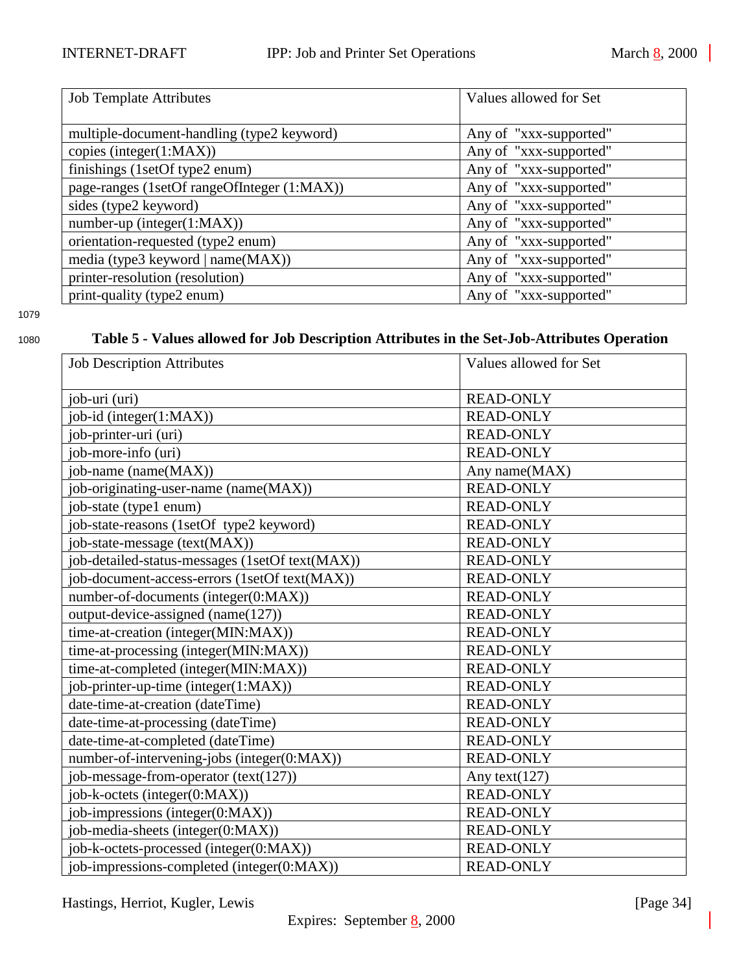<span id="page-33-0"></span>

| <b>Job Template Attributes</b>              | Values allowed for Set |
|---------------------------------------------|------------------------|
| multiple-document-handling (type2 keyword)  | Any of "xxx-supported" |
| copies (integer(1:MAX))                     | Any of "xxx-supported" |
| finishings (1setOf type2 enum)              | Any of "xxx-supported" |
| page-ranges (1setOf rangeOfInteger (1:MAX)) | Any of "xxx-supported" |
| sides (type2 keyword)                       | Any of "xxx-supported" |
| $number-up (integer(1:MAX))$                | Any of "xxx-supported" |
| orientation-requested (type2 enum)          | Any of "xxx-supported" |
| media (type3 keyword   name(MAX))           | Any of "xxx-supported" |
| printer-resolution (resolution)             | Any of "xxx-supported" |
| print-quality (type2 enum)                  | Any of "xxx-supported" |

## <sup>1080</sup> **Table 5 - Values allowed for Job Description Attributes in the Set-Job-Attributes Operation**

| <b>Job Description Attributes</b>               | Values allowed for Set |
|-------------------------------------------------|------------------------|
| job-uri (uri)                                   | <b>READ-ONLY</b>       |
| job-id (integer(1:MAX))                         | <b>READ-ONLY</b>       |
| job-printer-uri (uri)                           | <b>READ-ONLY</b>       |
| job-more-info (uri)                             | <b>READ-ONLY</b>       |
| job-name (name(MAX))                            | Any name(MAX)          |
| job-originating-user-name (name(MAX))           | <b>READ-ONLY</b>       |
| job-state (type1 enum)                          | <b>READ-ONLY</b>       |
| job-state-reasons (1setOf type2 keyword)        | <b>READ-ONLY</b>       |
| job-state-message (text(MAX))                   | <b>READ-ONLY</b>       |
| job-detailed-status-messages (1setOf text(MAX)) | <b>READ-ONLY</b>       |
| job-document-access-errors (1setOf text(MAX))   | <b>READ-ONLY</b>       |
| number-of-documents (integer(0:MAX))            | <b>READ-ONLY</b>       |
| output-device-assigned (name(127))              | <b>READ-ONLY</b>       |
| time-at-creation (integer(MIN:MAX))             | <b>READ-ONLY</b>       |
| time-at-processing (integer(MIN:MAX))           | <b>READ-ONLY</b>       |
| time-at-completed (integer(MIN:MAX))            | <b>READ-ONLY</b>       |
| job-printer-up-time (integer(1:MAX))            | <b>READ-ONLY</b>       |
| date-time-at-creation (dateTime)                | <b>READ-ONLY</b>       |
| date-time-at-processing (dateTime)              | <b>READ-ONLY</b>       |
| date-time-at-completed (dateTime)               | <b>READ-ONLY</b>       |
| number-of-intervening-jobs (integer(0:MAX))     | <b>READ-ONLY</b>       |
| job-message-from-operator $(text(127))$         | Any text $(127)$       |
| job-k-octets (integer(0:MAX))                   | <b>READ-ONLY</b>       |
| job-impressions (integer(0:MAX))                | <b>READ-ONLY</b>       |
| job-media-sheets (integer(0:MAX))               | <b>READ-ONLY</b>       |
| job-k-octets-processed (integer(0:MAX))         | <b>READ-ONLY</b>       |
| job-impressions-completed (integer(0:MAX))      | <b>READ-ONLY</b>       |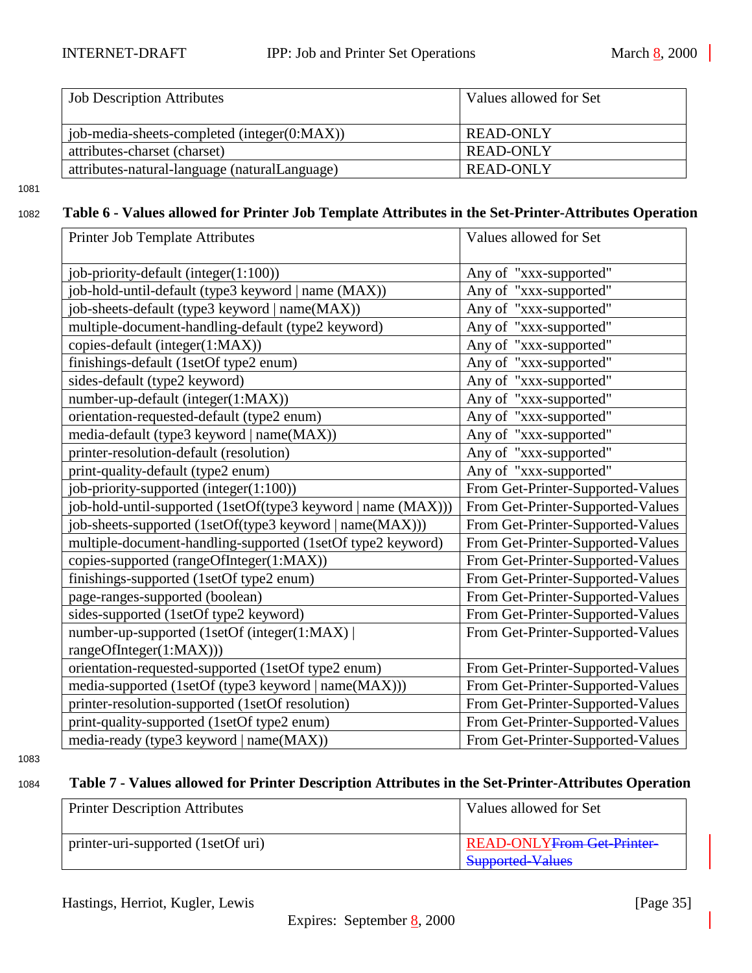<span id="page-34-0"></span>

| <b>Job Description Attributes</b>             | Values allowed for Set |
|-----------------------------------------------|------------------------|
|                                               |                        |
| job-media-sheets-completed (integer(0:MAX))   | READ-ONLY              |
| attributes-charset (charset)                  | <b>READ-ONLY</b>       |
| attributes-natural-language (naturalLanguage) | <b>READ-ONLY</b>       |

## <sup>1082</sup> **Table 6 - Values allowed for Printer Job Template Attributes in the Set-Printer-Attributes Operation**

| Printer Job Template Attributes                               | Values allowed for Set            |
|---------------------------------------------------------------|-----------------------------------|
| job-priority-default (integer(1:100))                         | Any of "xxx-supported"            |
| job-hold-until-default (type3 keyword   name (MAX))           | Any of "xxx-supported"            |
| job-sheets-default (type3 keyword   name(MAX))                | Any of "xxx-supported"            |
| multiple-document-handling-default (type2 keyword)            | Any of "xxx-supported"            |
| copies-default (integer(1:MAX))                               | Any of "xxx-supported"            |
| finishings-default (1setOf type2 enum)                        | Any of "xxx-supported"            |
| sides-default (type2 keyword)                                 | Any of "xxx-supported"            |
| number-up-default (integer(1:MAX))                            | Any of "xxx-supported"            |
| orientation-requested-default (type2 enum)                    | Any of "xxx-supported"            |
| media-default (type3 keyword   name(MAX))                     | Any of "xxx-supported"            |
| printer-resolution-default (resolution)                       | Any of "xxx-supported"            |
| print-quality-default (type2 enum)                            | Any of "xxx-supported"            |
| job-priority-supported (integer(1:100))                       | From Get-Printer-Supported-Values |
| job-hold-until-supported (1setOf(type3 keyword   name (MAX))) | From Get-Printer-Supported-Values |
| job-sheets-supported (1setOf(type3 keyword   name(MAX)))      | From Get-Printer-Supported-Values |
| multiple-document-handling-supported (1setOf type2 keyword)   | From Get-Printer-Supported-Values |
| copies-supported (rangeOfInteger(1:MAX))                      | From Get-Printer-Supported-Values |
| finishings-supported (1setOf type2 enum)                      | From Get-Printer-Supported-Values |
| page-ranges-supported (boolean)                               | From Get-Printer-Supported-Values |
| sides-supported (1setOf type2 keyword)                        | From Get-Printer-Supported-Values |
| number-up-supported (1setOf (integer(1:MAX))                  | From Get-Printer-Supported-Values |
| rangeOfInteger(1:MAX)))                                       |                                   |
| orientation-requested-supported (1setOf type2 enum)           | From Get-Printer-Supported-Values |
| media-supported (1setOf (type3 keyword   name(MAX)))          | From Get-Printer-Supported-Values |
| printer-resolution-supported (1setOf resolution)              | From Get-Printer-Supported-Values |
| print-quality-supported (1setOf type2 enum)                   | From Get-Printer-Supported-Values |
| media-ready (type3 keyword   name(MAX))                       | From Get-Printer-Supported-Values |

#### 1083

# <sup>1084</sup> **Table 7 - Values allowed for Printer Description Attributes in the Set-Printer-Attributes Operation**

| <b>Printer Description Attributes</b> | Values allowed for Set                                       |
|---------------------------------------|--------------------------------------------------------------|
| printer-uri-supported (1setOf uri)    | <b>READ-ONLYFrom Get Printer-</b><br><b>Supported Values</b> |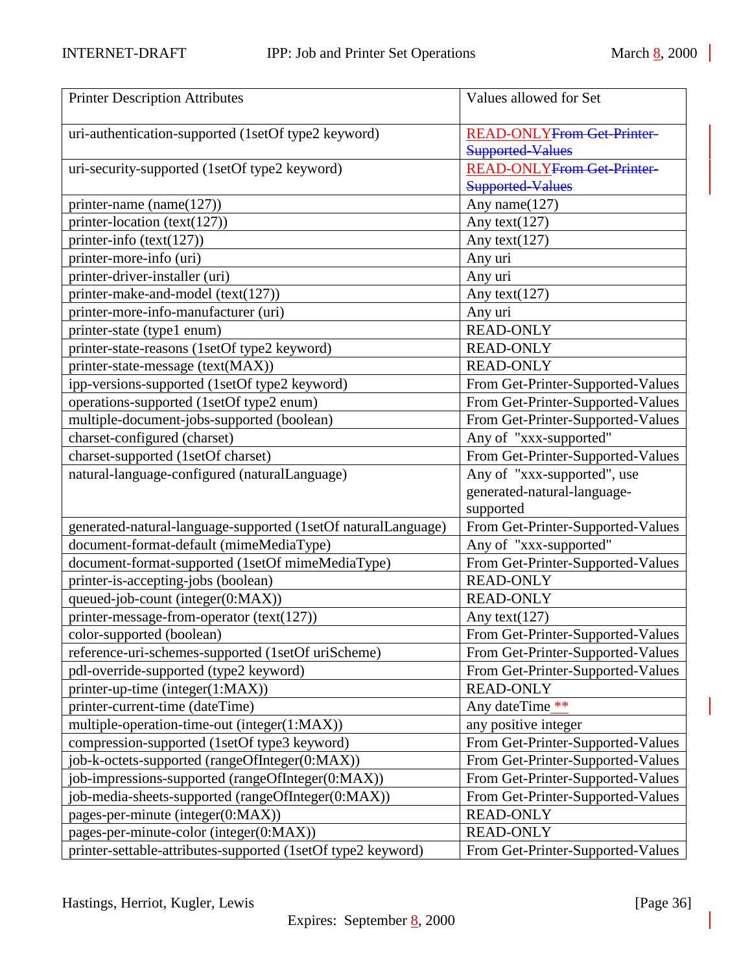| <b>Printer Description Attributes</b>                         | Values allowed for Set                       |
|---------------------------------------------------------------|----------------------------------------------|
|                                                               |                                              |
| uri-authentication-supported (1setOf type2 keyword)           | <b>READ-ONLY<del>From Get Printer</del></b>  |
|                                                               | <b>Supported-Values</b>                      |
| uri-security-supported (1setOf type2 keyword)                 | <b>READ-ONLY<del>From Get-Printer-</del></b> |
|                                                               | <b>Supported-Values</b>                      |
| printer-name (name(127))                                      | Any name(127)                                |
| printer-location (text(127))                                  | Any text(127)                                |
| printer-info $(text(127))$                                    | Any text $(127)$                             |
| printer-more-info (uri)                                       | Any uri                                      |
| printer-driver-installer (uri)                                | Any uri                                      |
| printer-make-and-model (text(127))                            | Any text(127)                                |
| printer-more-info-manufacturer (uri)                          | Any uri                                      |
| printer-state (type1 enum)                                    | <b>READ-ONLY</b>                             |
| printer-state-reasons (1setOf type2 keyword)                  | <b>READ-ONLY</b>                             |
| printer-state-message (text(MAX))                             | <b>READ-ONLY</b>                             |
| ipp-versions-supported (1setOf type2 keyword)                 | From Get-Printer-Supported-Values            |
| operations-supported (1setOf type2 enum)                      | From Get-Printer-Supported-Values            |
| multiple-document-jobs-supported (boolean)                    | From Get-Printer-Supported-Values            |
| charset-configured (charset)                                  | Any of "xxx-supported"                       |
| charset-supported (1setOf charset)                            | From Get-Printer-Supported-Values            |
| natural-language-configured (naturalLanguage)                 | Any of "xxx-supported", use                  |
|                                                               | generated-natural-language-                  |
|                                                               | supported                                    |
| generated-natural-language-supported (1setOf naturalLanguage) | From Get-Printer-Supported-Values            |
| document-format-default (mimeMediaType)                       | Any of "xxx-supported"                       |
| document-format-supported (1setOf mimeMediaType)              | From Get-Printer-Supported-Values            |
| printer-is-accepting-jobs (boolean)                           | <b>READ-ONLY</b>                             |
| queued-job-count (integer(0:MAX))                             | <b>READ-ONLY</b>                             |
| printer-message-from-operator (text(127))                     | Any text $(127)$                             |
| color-supported (boolean)                                     | From Get-Printer-Supported-Values            |
| reference-uri-schemes-supported (1setOf uriScheme)            | From Get-Printer-Supported-Values            |
| pdl-override-supported (type2 keyword)                        | From Get-Printer-Supported-Values            |
| printer-up-time (integer(1:MAX))                              | <b>READ-ONLY</b>                             |
| printer-current-time (dateTime)                               | Any dateTime **                              |
| multiple-operation-time-out (integer(1:MAX))                  | any positive integer                         |
| compression-supported (1setOf type3 keyword)                  | From Get-Printer-Supported-Values            |
| job-k-octets-supported (rangeOfInteger(0:MAX))                | From Get-Printer-Supported-Values            |
| job-impressions-supported (rangeOfInteger(0:MAX))             | From Get-Printer-Supported-Values            |
| job-media-sheets-supported (rangeOfInteger(0:MAX))            | From Get-Printer-Supported-Values            |
| pages-per-minute (integer(0:MAX))                             | <b>READ-ONLY</b>                             |
| pages-per-minute-color (integer(0:MAX))                       | <b>READ-ONLY</b>                             |
| printer-settable-attributes-supported (1setOf type2 keyword)  | From Get-Printer-Supported-Values            |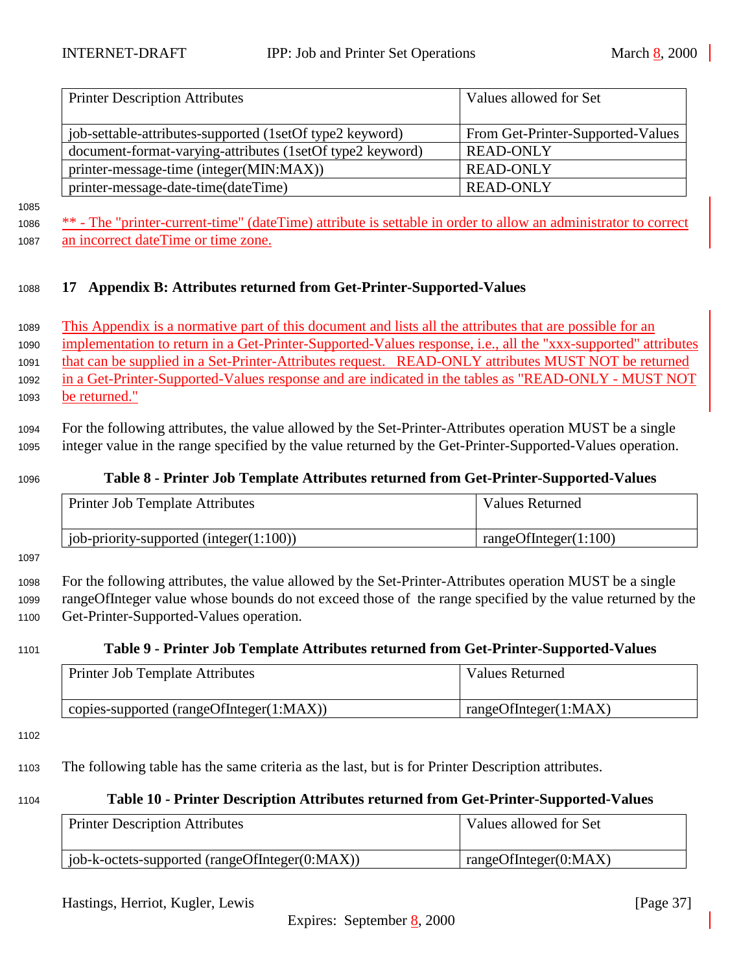<span id="page-36-0"></span>

| <b>Printer Description Attributes</b>                     | Values allowed for Set            |
|-----------------------------------------------------------|-----------------------------------|
| iob-settable-attributes-supported (1setOf type2 keyword)  | From Get-Printer-Supported-Values |
| document-format-varying-attributes (1setOf type2 keyword) | <b>READ-ONLY</b>                  |
| printer-message-time (integer(MIN:MAX))                   | <b>READ-ONLY</b>                  |
| printer-message-date-time(dateTime)                       | <b>READ-ONLY</b>                  |

1085

1086 \*\* - The "printer-current-time" (dateTime) attribute is settable in order to allow an administrator to correct <sup>1087</sup> an incorrect dateTime or time zone.

### <sup>1088</sup> **17 Appendix B: Attributes returned from Get-Printer-Supported-Values**

 This Appendix is a normative part of this document and lists all the attributes that are possible for an implementation to return in a Get-Printer-Supported-Values response, i.e., all the "xxx-supported" attributes that can be supplied in a Set-Printer-Attributes request. READ-ONLY attributes MUST NOT be returned in a Get-Printer-Supported-Values response and are indicated in the tables as "READ-ONLY - MUST NOT be returned."

<sup>1094</sup> For the following attributes, the value allowed by the Set-Printer-Attributes operation MUST be a single <sup>1095</sup> integer value in the range specified by the value returned by the Get-Printer-Supported-Values operation.

### <sup>1096</sup> **Table 8 - Printer Job Template Attributes returned from Get-Printer-Supported-Values**

| Printer Job Template Attributes             | Values Returned       |
|---------------------------------------------|-----------------------|
| job-priority-supported (integer $(1:100)$ ) | rangeOfInteger(1:100) |

1097

<sup>1098</sup> For the following attributes, the value allowed by the Set-Printer-Attributes operation MUST be a single <sup>1099</sup> rangeOfInteger value whose bounds do not exceed those of the range specified by the value returned by the <sup>1100</sup> Get-Printer-Supported-Values operation.

#### <sup>1101</sup> **Table 9 - Printer Job Template Attributes returned from Get-Printer-Supported-Values**

| <b>Printer Job Template Attributes</b>   | Values Returned       |
|------------------------------------------|-----------------------|
| copies-supported (rangeOfInteger(1:MAX)) | rangeOfInteger(1:MAX) |

1102

<sup>1103</sup> The following table has the same criteria as the last, but is for Printer Description attributes.

#### <sup>1104</sup> **Table 10 - Printer Description Attributes returned from Get-Printer-Supported-Values**

| <b>Printer Description Attributes</b>              | Values allowed for Set |
|----------------------------------------------------|------------------------|
| job-k-octets-supported (rangeOfInteger( $0:MAX$ )) | rangeOfInteger(0:MAX)  |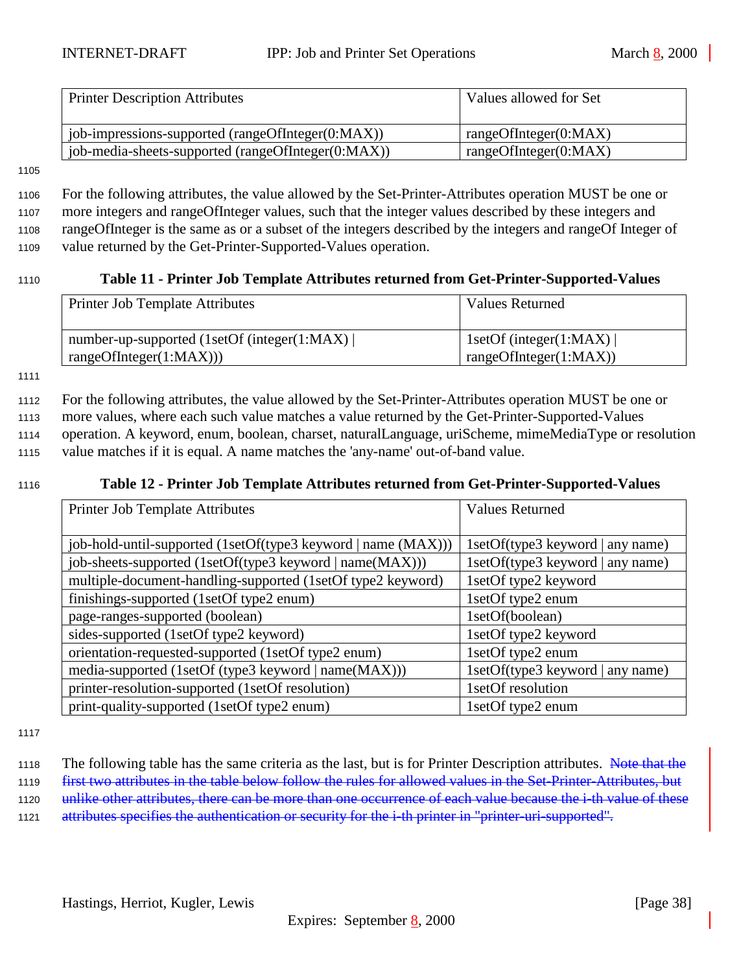<span id="page-37-0"></span>

| <b>Printer Description Attributes</b>              | Values allowed for Set |
|----------------------------------------------------|------------------------|
|                                                    |                        |
| job-impressions-supported (rangeOfInteger(0:MAX))  | rangeOfInteger(0:MAX)  |
| job-media-sheets-supported (rangeOfInteger(0:MAX)) | rangeOfInteger(0:MAX)  |

#### 1105

 For the following attributes, the value allowed by the Set-Printer-Attributes operation MUST be one or more integers and rangeOfInteger values, such that the integer values described by these integers and rangeOfInteger is the same as or a subset of the integers described by the integers and rangeOf Integer of value returned by the Get-Printer-Supported-Values operation.

## <sup>1110</sup> **Table 11 - Printer Job Template Attributes returned from Get-Printer-Supported-Values**

| <b>Printer Job Template Attributes</b>                                 | <b>Values Returned</b>                                   |
|------------------------------------------------------------------------|----------------------------------------------------------|
| number-up-supported (1setOf (integer(1:MAX))<br>rangeOfInteger(1:MAX)) | 1setOf (integer(1:MAX) $\vert$<br>rangeOfInteger(1:MAX)) |

1111

 For the following attributes, the value allowed by the Set-Printer-Attributes operation MUST be one or more values, where each such value matches a value returned by the Get-Printer-Supported-Values operation. A keyword, enum, boolean, charset, naturalLanguage, uriScheme, mimeMediaType or resolution value matches if it is equal. A name matches the 'any-name' out-of-band value.

### <sup>1116</sup> **Table 12 - Printer Job Template Attributes returned from Get-Printer-Supported-Values**

| Printer Job Template Attributes                               | <b>Values Returned</b>           |
|---------------------------------------------------------------|----------------------------------|
|                                                               |                                  |
| job-hold-until-supported (1setOf(type3 keyword   name (MAX))) | 1setOf(type3 keyword   any name) |
| job-sheets-supported (1setOf(type3 keyword   name(MAX)))      | 1setOf(type3 keyword   any name) |
| multiple-document-handling-supported (1setOf type2 keyword)   | 1setOf type2 keyword             |
| finishings-supported (1setOf type2 enum)                      | 1setOf type2 enum                |
| page-ranges-supported (boolean)                               | 1setOf(boolean)                  |
| sides-supported (1setOf type2 keyword)                        | 1setOf type2 keyword             |
| orientation-requested-supported (1setOf type2 enum)           | 1setOf type2 enum                |
| media-supported (1setOf (type3 keyword   name(MAX)))          | 1setOf(type3 keyword   any name) |
| printer-resolution-supported (1setOf resolution)              | 1setOf resolution                |
| print-quality-supported (1setOf type2 enum)                   | 1setOf type2 enum                |

1117

1118 The following table has the same criteria as the last, but is for Printer Description attributes. Note that the <sup>1119</sup> first two attributes in the table below follow the rules for allowed values in the Set-Printer-Attributes, but 1120 unlike other attributes, there can be more than one occurrence of each value because the *i*-th value of these

1121 attributes specifies the authentication or security for the *i*-th printer in "printer-uri-supported".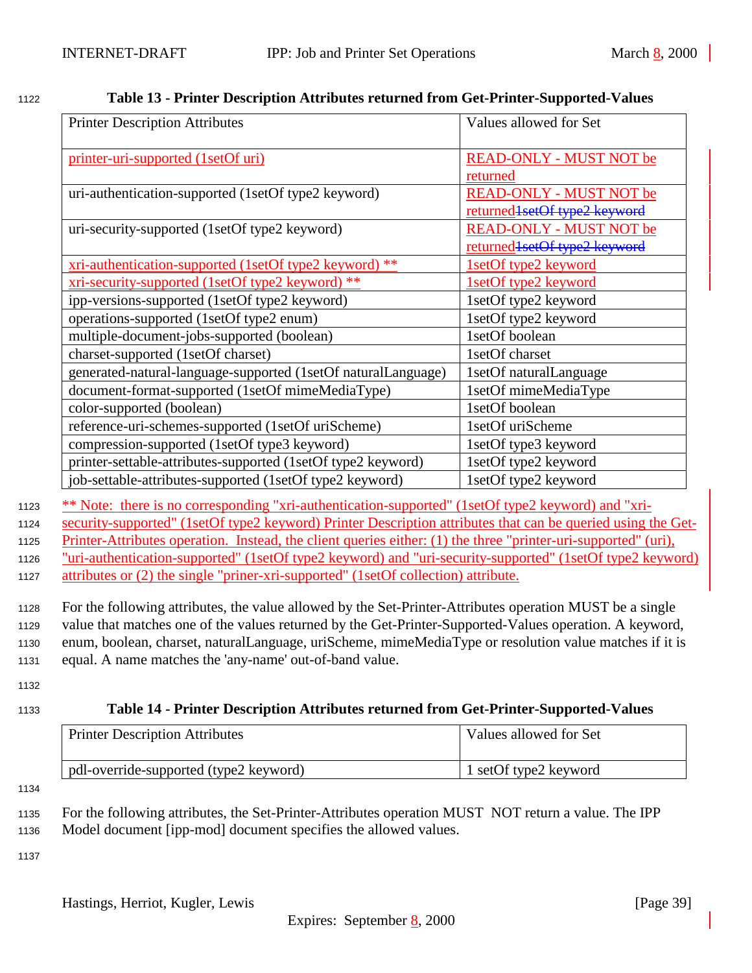| <b>Printer Description Attributes</b>                                                                          | Values allowed for Set           |
|----------------------------------------------------------------------------------------------------------------|----------------------------------|
| printer-uri-supported (1setOf uri)                                                                             | <b>READ-ONLY - MUST NOT be</b>   |
|                                                                                                                | returned                         |
| uri-authentication-supported (1setOf type2 keyword)                                                            | <b>READ-ONLY - MUST NOT be</b>   |
|                                                                                                                | returned 1 set Of type 2 keyword |
| uri-security-supported (1setOf type2 keyword)                                                                  | <b>READ-ONLY - MUST NOT be</b>   |
|                                                                                                                | returned 1 set Of type 2 keyword |
| xri-authentication-supported (1setOf type2 keyword) **                                                         | 1setOf type2 keyword             |
| xri-security-supported (1setOf type2 keyword) **                                                               | 1setOf type2 keyword             |
| ipp-versions-supported (1setOf type2 keyword)                                                                  | 1setOf type2 keyword             |
| operations-supported (1setOf type2 enum)                                                                       | 1setOf type2 keyword             |
| multiple-document-jobs-supported (boolean)                                                                     | 1setOf boolean                   |
| charset-supported (1setOf charset)                                                                             | 1setOf charset                   |
| generated-natural-language-supported (1setOf naturalLanguage)                                                  | 1setOf naturalLanguage           |
| document-format-supported (1setOf mimeMediaType)                                                               | 1setOf mimeMediaType             |
| color-supported (boolean)                                                                                      | 1setOf boolean                   |
| reference-uri-schemes-supported (1setOf uriScheme)                                                             | 1setOf uriScheme                 |
| compression-supported (1setOf type3 keyword)                                                                   | 1setOf type3 keyword             |
| printer-settable-attributes-supported (1setOf type2 keyword)                                                   | 1setOf type2 keyword             |
| job-settable-attributes-supported (1setOf type2 keyword)                                                       | 1setOf type2 keyword             |
| ** Note: there is no corresponding "xri-authentication-supported" (1setOf type2 keyword) and "xri-             |                                  |
| security-supported" (1setOf type2 keyword) Printer Description attributes that can be queried using the Get-   |                                  |
| Printer-Attributes operation. Instead, the client queries either: (1) the three "printer-uri-supported" (uri), |                                  |
| "uri-authentication-supported" (1setOf type2 keyword) and "uri-security-supported" (1setOf type2 keyword)      |                                  |
| attributes or (2) the single "priner-xri-supported" (1setOf collection) attribute.                             |                                  |
| For the following attributes, the value allowed by the Set-Printer-Attributes operation MUST be a single       |                                  |
| value that matches one of the values returned by the Get-Printer-Supported-Values operation. A keyword,        |                                  |
| enum, boolean, charset, naturalLanguage, uriScheme, mimeMediaType or resolution value matches if it is         |                                  |
| equal. A name matches the 'any-name' out-of-band value.                                                        |                                  |
|                                                                                                                |                                  |
| Table 14 - Printer Description Attributes returned from Get-Printer-Supported-Values                           |                                  |
| <b>Printer Description Attributes</b>                                                                          | Values allowed for Set           |
|                                                                                                                |                                  |

# <span id="page-38-0"></span><sup>1122</sup> **Table 13 - Printer Description Attributes returned from Get-Printer-Supported-Values**

1137